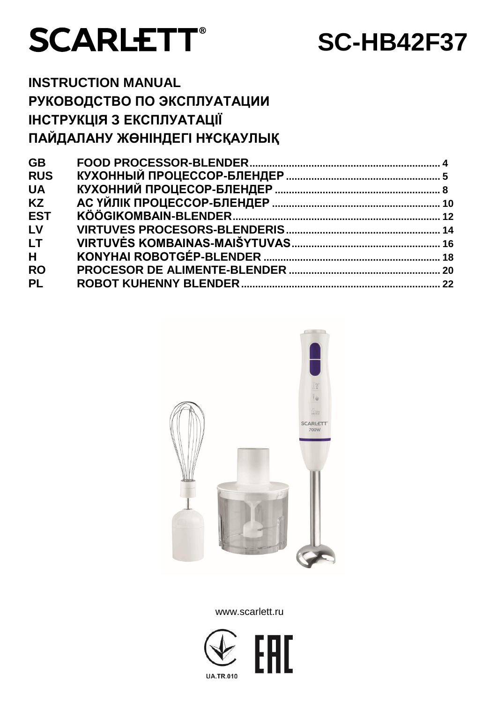

# **SC-HB42F37**

## **INSTRUCTION MANUAL РУКОВОДСТВО ПО ЭКСПЛУАТАЦИИ ІНСТРУКЦІЯ З ЕКСПЛУАТАЦІЇ ПАЙДАЛАНУ ЖӨНІНДЕГІ НҰСҚАУЛЫҚ**

| <b>GB</b>  |  |
|------------|--|
| <b>RUS</b> |  |
| <b>UA</b>  |  |
| <b>KZ</b>  |  |
| <b>EST</b> |  |
| LV         |  |
| <b>LT</b>  |  |
| H          |  |
| <b>RO</b>  |  |
| <b>PL</b>  |  |
|            |  |



www.scarlett.ru

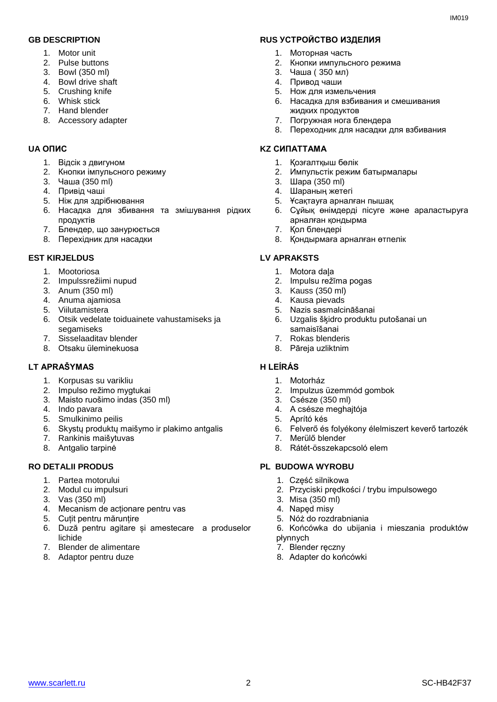- 1. Motor unit
- 2. Pulse buttons
- 3. Bowl (350 ml)
- 4. Bowl drive shaft
- 5. Crushing knife
- 6. Whisk stick
- 7. Hand blender
- 8. Accessory adapter

- 1. Відсік з двигуном
- 2. Кнопки імпульсного режиму
- 3. Чаша (350 ml)
- 4. Привід чаші
- 5. Ніж для здрібнювання
- 6. Насадка для збивання та змішування рідких продуктів
- 7. Блендер, що занурюється
- 8. Перехідник для насадки

## **EST KIRJELDUS LV APRAKSTS**

- 1. Mootoriosa
- 2. Impulssrežiimi nupud
- 3. Anum (350 ml)
- 4. Anuma ajamiosa
- 5. Viilutamistera
- 6. Otsik vedelate toiduainete vahustamiseks ja segamiseks
- 7. Sisselaaditav blender
- 8. Otsaku üleminekuosa

## **LT APRAŠYMAS H LEÍRÁS**

- 1. Korpusas su varikliu
- 2. Impulso režimo mygtukai
- 3. Maisto ruošimo indas (350 ml)
- 4. Indo pavara
- 5. Smulkinimo peilis
- 6. Skystų produktų maišymo ir plakimo antgalis
- 7. Rankinis maišytuvas
- 8. Antgalio tarpinė

- 1. Partea motorului
- 2. Modul cu impulsuri
- 3. Vas (350 ml)
- 4. Mecanism de acționare pentru vas
- 5. Cuțit pentru mărunțire
- 6. Duză pentru agitare și amestecare a produselor lichide
- 7. Blender de alimentare
- 8. Adaptor pentru duze

## **GB DESCRIPTION RUS УСТРОЙСТВО ИЗДЕЛИЯ**

- 1. Моторная часть
- 2. Кнопки импульсного режима
- 3. Чаша ( 350 мл)
- 4. Привод чаши
- 5. Нож для измельчения
- 6. Насадка для взбивания и смешивания жидких продуктов
- 7. Погружная нога блендера
- 8. Переходник для насадки для взбивания

### **UA ОПИС KZ СИПАТТАМА**

- 1. Қозғалтқыш бөлік
- 2. Импульстік режим батырмалары
- 3. Шара (350 ml)
- 4. Шараның жетегі
- 5. Ұсақтауға арналған пышақ
- 6. Сұйық өнімдерді пісуге және араластыруға арналған қондырма
- 7. Қол блендері
- 8. Қондырмаға арналған өтпелік

- 1. Motora daļa
- 2. Impulsu režīma pogas
- 3. Kauss (350 ml)
- 4. Kausa pievads
- 5. Nazis sasmalcināšanai
- 6. Uzgalis šķidro produktu putošanai un samaisīšanai
- 7. Rokas blenderis
- 8. Pāreja uzliktnim

- 1. Motorház
- 2. Impulzus üzemmód gombok
- 3. Csésze (350 ml)
- 4. A csésze meghajtója
- 5. Aprító kés
- 6. Felverő és folyékony élelmiszert keverő tartozék
- 7. Merülő blender
- 8. Rátét-összekapcsoló elem

## **RO DETALII PRODUS PL BUDOWA WYROBU**

- 1. Część silnikowa
- 2. Przyciski prędkości / trybu impulsowego
- 3. Misa (350 ml)
- 4. Napęd misy
- 5. Nóż do rozdrabniania
- 6. Końcówka do ubijania i mieszania produktów płynnych
- 7. Blender ręczny
- 8. Adapter do końcówki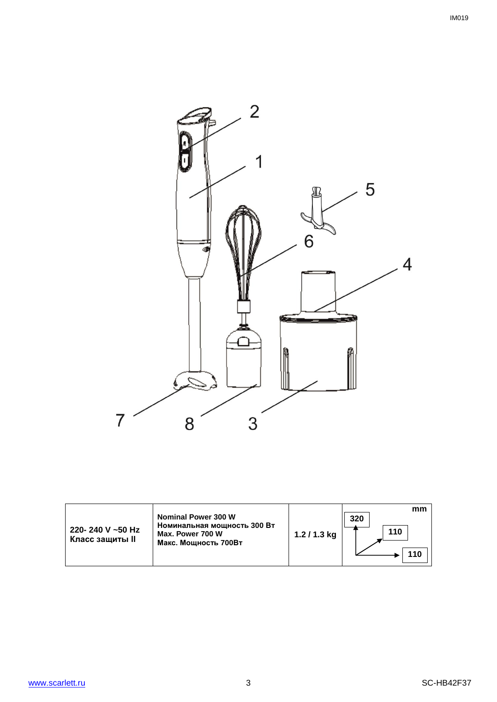

| 220-240 V ~50 Hz<br>Класс защиты II | <b>Nominal Power 300 W</b><br>Номинальная мощность 300 Вт<br>Max. Power 700 W<br>Макс. Мощность 700Вт | $1.2/1.3$ kg | mm<br>320<br>110<br>10 |
|-------------------------------------|-------------------------------------------------------------------------------------------------------|--------------|------------------------|
|-------------------------------------|-------------------------------------------------------------------------------------------------------|--------------|------------------------|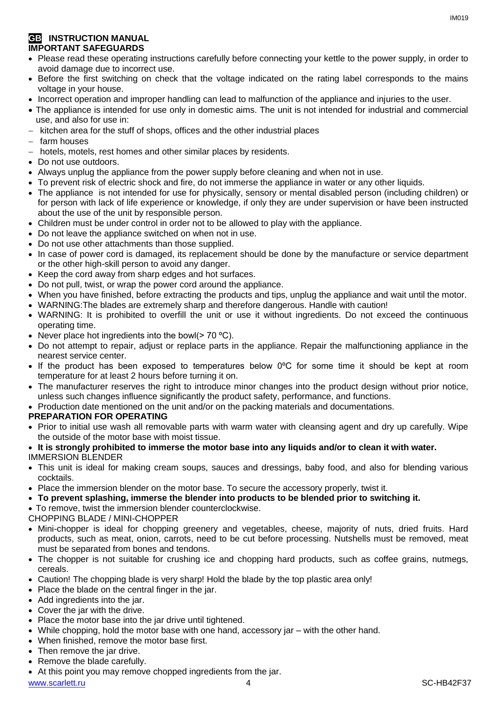## **GB INSTRUCTION MANUAL IMPORTANT SAFEGUARDS**

- Please read these operating instructions carefully before connecting your kettle to the power supply, in order to avoid damage due to incorrect use.
- Before the first switching on check that the voltage indicated on the rating label corresponds to the mains voltage in your house.
- Incorrect operation and improper handling can lead to malfunction of the appliance and injuries to the user.
- The appliance is intended for use only in domestic aims. The unit is not intended for industrial and commercial use, and also for use in:
- $-$  kitchen area for the stuff of shops, offices and the other industrial places
- $-$  farm houses
- hotels, motels, rest homes and other similar places by residents.
- Do not use outdoors.
- Always unplug the appliance from the power supply before cleaning and when not in use.
- To prevent risk of electric shock and fire, do not immerse the appliance in water or any other liquids.
- The appliance is not intended for use for [physically, sensory or mental disabled](https://www.multitran.ru/c/m.exe?t=5841801_1_2&s1=%F7%E5%EB%EE%E2%E5%EA%20%F1%20%EE%E3%F0%E0%ED%E8%F7%E5%ED%ED%FB%EC%E8%20%E2%EE%E7%EC%EE%E6%ED%EE%F1%F2%FF%EC%E8) person (including children) or for person with lack of life experience or knowledge, if only they are under supervision or have been instructed about the use of the unit by responsible person.
- Children must be under control in order not to be allowed to play with the appliance.
- Do not leave the appliance switched on when not in use.
- Do not use other attachments than those supplied.
- In case of power cord is damaged, its replacement should be done by the manufacture or service department or the other high-skill person to avoid any danger.
- Keep the cord away from sharp edges and hot surfaces.
- Do not pull, twist, or wrap the power cord around the appliance.
- When you have finished, before extracting the products and tips, unplug the appliance and wait until the motor.
- WARNING:The blades are extremely sharp and therefore dangerous. Handle with caution!
- WARNING: It is prohibited to overfill the unit or use it without ingredients. Do not exceed the continuous operating time.
- Never place hot ingredients into the bowl( $> 70 °C$ ).
- Do not attempt to repair, adjust or replace parts in the appliance. Repair the malfunctioning appliance in the nearest service center.
- If the product has been exposed to temperatures below 0ºC for some time it should be kept at room temperature for at least 2 hours before turning it on.
- The manufacturer reserves the right to introduce minor changes into the product design without prior notice, unless such changes influence significantly the product safety, performance, and functions.
- Production date mentioned on the unit and/or on the packing materials and documentations.

## **PREPARATION FOR OPERATING**

- Prior to initial use wash all removable parts with warm water with cleansing agent and dry up carefully. Wipe the outside of the motor base with moist tissue.
- **It is strongly prohibited to immerse the motor base into any liquids and/or to clean it with water.** IMMERSION BLENDER
- This unit is ideal for making cream soups, sauces and dressings, baby food, and also for blending various cocktails.
- Place the immersion blender on the motor base. To secure the accessory properly, twist it.
- **To prevent splashing, immerse the blender into products to be blended prior to switching it.**
- To remove, twist the immersion blender counterclockwise.

CHOPPING BLADE / MINI-CHOPPER

- Mini-chopper is ideal for chopping greenery and vegetables, cheese, majority of nuts, dried fruits. Hard products, such as meat, onion, carrots, need to be cut before processing. Nutshells must be removed, meat must be separated from bones and tendons.
- The chopper is not suitable for crushing ice and chopping hard products, such as coffee grains, nutmegs, cereals.
- Caution! The chopping blade is very sharp! Hold the blade by the top plastic area only!
- Place the blade on the central finger in the jar.
- Add ingredients into the jar.
- Cover the jar with the drive.
- Place the motor base into the jar drive until tightened.
- While chopping, hold the motor base with one hand, accessory jar with the other hand.
- When finished, remove the motor base first.
- Then remove the jar drive.
- Remove the blade carefully.
- At this point you may remove chopped ingredients from the jar.

www.scarlett.ru 4 SC-HB42F37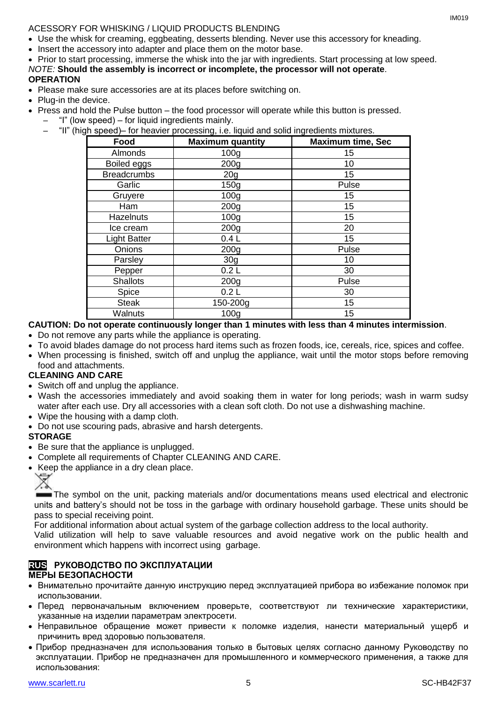ACESSORY FOR WHISKING / LIQUID PRODUCTS BLENDING

- Use the whisk for creaming, eggbeating, desserts blending. Never use this accessory for kneading.
- Insert the accessory into adapter and place them on the motor base.
- Prior to start processing, immerse the whisk into the jar with ingredients. Start processing at low speed. *NOTE:* **Should the assembly is incorrect or incomplete, the processor will not operate**. **OPERATION**
- Please make sure accessories are at its places before switching on.
- Plug-in the device.
- Press and hold the Pulse button the food processor will operate while this button is pressed.
	- "I" (low speed) for liquid ingredients mainly.
		- "II" (high speed)– for heavier processing, i.e. liquid and solid ingredients mixtures.

|                     | ັ                       |                          |
|---------------------|-------------------------|--------------------------|
| Food                | <b>Maximum quantity</b> | <b>Maximum time, Sec</b> |
| Almonds             | 100 <sub>g</sub>        | 15                       |
| Boiled eggs         | 200 <sub>g</sub>        | 10                       |
| <b>Breadcrumbs</b>  | 20 <sub>g</sub>         | 15                       |
| Garlic              | 150g                    | Pulse                    |
| Gruyere             | 100 <sub>g</sub>        | 15                       |
| Ham                 | 200 <sub>g</sub>        | 15                       |
| <b>Hazelnuts</b>    | 100 <sub>g</sub>        | 15                       |
| Ice cream           | 200 <sub>g</sub>        | 20                       |
| <b>Light Batter</b> | 0.4L                    | 15                       |
| Onions              | 200 <sub>g</sub>        | Pulse                    |
| Parsley             | 30 <sub>g</sub>         | 10                       |
| Pepper              | 0.2L                    | 30                       |
| <b>Shallots</b>     | 200 <sub>g</sub>        | Pulse                    |
| Spice               | 0.2L                    | 30                       |
| <b>Steak</b>        | 150-200g                | 15                       |
| Walnuts             | 100 <sub>q</sub>        | 15                       |

## **CAUTION: Do not operate continuously longer than 1 minutes with less than 4 minutes intermission**.

- Do not remove any parts while the appliance is operating.
- To avoid blades damage do not process hard items such as frozen foods, ice, cereals, rice, spices and coffee.
- When processing is finished, switch off and unplug the appliance, wait until the motor stops before removing food and attachments.

## **CLEANING AND CARE**

- Switch off and unplug the appliance.
- Wash the accessories immediately and avoid soaking them in water for long periods; wash in warm sudsy water after each use. Dry all accessories with a clean soft cloth. Do not use a dishwashing machine.
- Wipe the housing with a damp cloth.
- Do not use scouring pads, abrasive and harsh detergents.

## **STORAGE**

- Be sure that the appliance is unplugged.
- Complete all requirements of Chapter CLEANING AND CARE.
- Keep the appliance in a dry clean place.

The symbol on the unit, packing materials and/or documentations means used electrical and electronic units and battery's should not be toss in the garbage with ordinary household garbage. These units should be pass to special receiving point.

For additional information about actual system of the garbage collection address to the local authority.

Valid utilization will help to save valuable resources and avoid negative work on the public health and environment which happens with incorrect using garbage.

## **RUS РУКОВОДСТВО ПО ЭКСПЛУАТАЦИИ МЕРЫ БЕЗОПАСНОСТИ**

- Внимательно прочитайте данную инструкцию перед эксплуатацией прибора во избежание поломок при использовании.
- Перед первоначальным включением проверьте, соответствуют ли технические характеристики, указанные на изделии параметрам электросети.
- Неправильное обращение может привести к поломке изделия, нанести материальный ущерб и причинить вред здоровью пользователя.
- Прибор предназначен для использования только в бытовых целях согласно данному Руководству по эксплуатации. Прибор не предназначен для промышленного и коммерческого применения, а также для использования: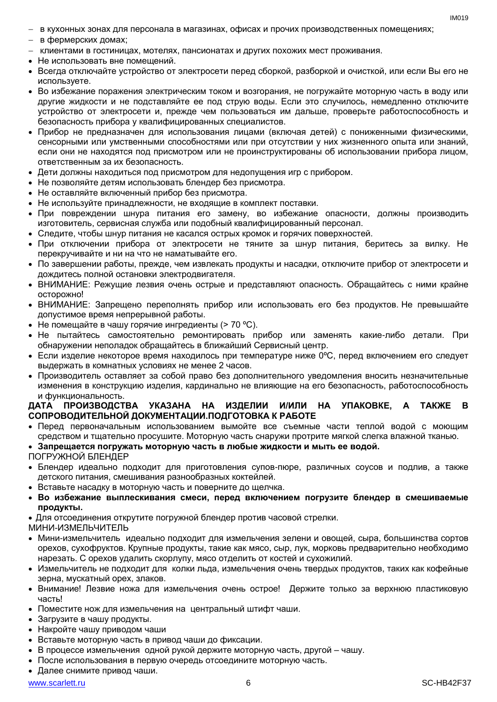- в кухонных зонах для персонала в магазинах, офисах и прочих производственных помещениях;
- в фермерских домах;
- клиентами в гостиницах, мотелях, пансионатах и других похожих мест проживания.
- Не использовать вне помещений.
- Всегда отключайте устройство от электросети перед сборкой, разборкой и очисткой, или если Вы его не используете.
- Во избежание поражения электрическим током и возгорания, не погружайте моторную часть в воду или другие жидкости и не подставляйте ее под струю воды. Если это случилось, немедленно отключите устройство от электросети и, прежде чем пользоваться им дальше, проверьте работоспособность и безопасность прибора у квалифицированных специалистов.
- Прибор не предназначен для использования лицами (включая детей) с пониженными физическими, сенсорными или умственными способностями или при отсутствии у них жизненного опыта или знаний, если они не находятся под присмотром или не проинструктированы об использовании прибора лицом, ответственным за их безопасность.
- Дети должны находиться под присмотром для недопущения игр с прибором.
- Не позволяйте детям использовать блендер без присмотра.
- Не оставляйте включенный прибор без присмотра.
- Не используйте принадлежности, не входящие в комплект поставки.
- При повреждении шнура питания его замену, во избежание опасности, должны производить изготовитель, сервисная служба или подобный квалифицированный персонал.
- Следите, чтобы шнур питания не касался острых кромок и горячих поверхностей.
- При отключении прибора от электросети не тяните за шнур питания, беритесь за вилку. Не перекручивайте и ни на что не наматывайте его.
- По завершении работы, прежде, чем извлекать продукты и насадки, отключите прибор от электросети и дождитесь полной остановки электродвигателя.
- ВНИМАНИЕ: Режущие лезвия очень острые и представляют опасность. Обращайтесь с ними крайне осторожно!
- ВНИМАНИЕ: Запрещено переполнять прибор или использовать его без продуктов. Не превышайте допустимое время непрерывной работы.
- Не помешайте в чашу горячие ингредиенты (> 70 °С).
- Не пытайтесь самостоятельно ремонтировать прибор или заменять какие-либо детали. При обнаружении неполадок обращайтесь в ближайший Сервисный центр.
- $\bullet$  Если изделие некоторое время находилось при температуре ниже 0°С, перед включением его следует выдержать в комнатных условиях не менее 2 часов.
- Производитель оставляет за собой право без дополнительного уведомления вносить незначительные изменения в конструкцию изделия, кардинально не влияющие на его безопасность, работоспособность и функциональность.

## **ДАТА ПРОИЗВОДСТВА УКАЗАНА НА ИЗДЕЛИИ И/ИЛИ НА УПАКОВКЕ, А ТАКЖЕ В СОПРОВОДИТЕЛЬНОЙ ДОКУМЕНТАЦИИ.ПОДГОТОВКА К РАБОТЕ**

 Перед первоначальным использованием вымойте все съемные части теплой водой с моющим средством и тщательно просушите. Моторную часть снаружи протрите мягкой слегка влажной тканью.

## **Запрещается погружать моторную часть в любые жидкости и мыть ее водой.**

ПОГРУЖНОЙ БЛЕНДЕР

- Блендер идеально подходит для приготовления супов-пюре, различных соусов и подлив, а также детского питания, смешивания разнообразных коктейлей.
- Вставьте насадку в моторную часть и поверните до щелчка.
- **Во избежание выплескивания смеси, перед включением погрузите блендер в смешиваемые продукты.**
- Для отсоединения открутите погружной блендер против часовой стрелки.

МИНИ-ИЗМЕЛЬЧИТЕЛЬ

- Мини-измельчитель идеально подходит для измельчения зелени и овощей, сыра, большинства сортов орехов, сухофруктов. Крупные продукты, такие как мясо, сыр, лук, морковь предварительно необходимо нарезать. С орехов удалить скорлупу, мясо отделить от костей и сухожилий.
- Измельчитель не подходит для колки льда, измельчения очень твердых продуктов, таких как кофейные зерна, мускатный орех, злаков.
- Внимание! Лезвие ножа для измельчения очень острое! Держите только за верхнюю пластиковую часть!
- Поместите нож для измельчения на центральный штифт чаши.
- Загрузите в чашу продукты.
- Накройте чашу приводом чаши
- Вставьте моторную часть в привод чаши до фиксации.
- В процессе измельчения одной рукой держите моторную часть, другой чашу.
- После использования в первую очередь отсоедините моторную часть.
- Далее снимите привод чаши.

www.scarlett.ru 6 SC-HB42F37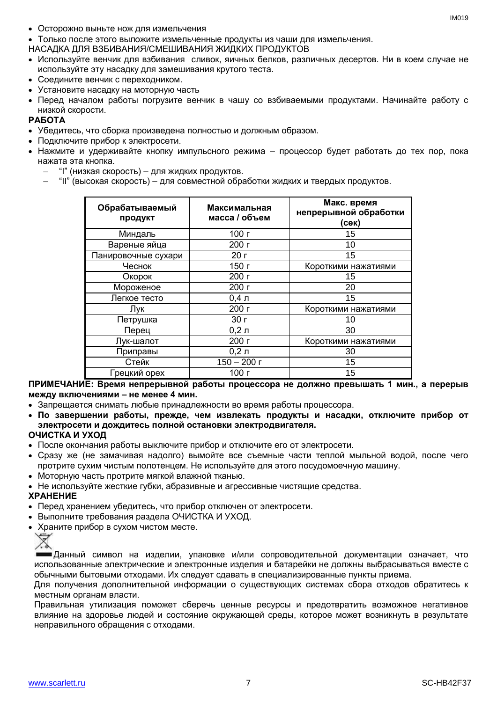- Осторожно выньте нож для измельчения
- Только после этого выложите измельченные продукты из чаши для измельчения.
- НАСАДКА ДЛЯ ВЗБИВАНИЯ/СМЕШИВАНИЯ ЖИДКИХ ПРОДУКТОВ
- Используйте венчик для взбивания сливок, яичных белков, различных десертов. Ни в коем случае не используйте эту насадку для замешивания крутого теста.
- Соедините венчик с переходником.
- Установите насадку на моторную часть
- Перед началом работы погрузите венчик в чашу со взбиваемыми продуктами. Начинайте работу с низкой скорости.

## **РАБОТА**

- Убедитесь, что сборка произведена полностью и должным образом.
- Подключите прибор к электросети.
- Нажмите и удерживайте кнопку импульсного режима процессор будет работать до тех пор, пока нажата эта кнопка.
	- "I" (низкая скорость) для жидких продуктов.
	- "II" (высокая скорость) для совместной обработки жидких и твердых продуктов.

| Обрабатываемый<br>продукт | Максимальная<br>масса / объем | Макс. время<br>непрерывной обработки<br>$($ cek $)$ |
|---------------------------|-------------------------------|-----------------------------------------------------|
| Миндаль                   | 100 г                         | 15                                                  |
| Вареные яйца              | 200 г                         | 10                                                  |
| Панировочные сухари       | 20r                           | 15                                                  |
| Чеснок                    | 150 г                         | Короткими нажатиями                                 |
| Окорок                    | 200 г                         | 15                                                  |
| Мороженое                 | 200 г                         | 20                                                  |
| Легкое тесто              | $0,4$ л                       | 15                                                  |
| Лук                       | 200 г                         | Короткими нажатиями                                 |
| Петрушка                  | 30 <sub>r</sub>               | 10                                                  |
| Перец                     | 0,2,7                         | 30                                                  |
| Лук-шалот                 | 200 г                         | Короткими нажатиями                                 |
| Приправы                  | $0,2,$ л                      | 30                                                  |
| Стейк                     | $150 - 200$ г                 | 15                                                  |
| Грецкий орех              | 100 г                         | 15                                                  |

**ПРИМЕЧАНИЕ: Время непрерывной работы процессора не должно превышать 1 мин., а перерыв между включениями – не менее 4 мин.**

- Запрещается снимать любые принадлежности во время работы процессора.
- **По завершении работы, прежде, чем извлекать продукты и насадки, отключите прибор от электросети и дождитесь полной остановки электродвигателя.**

## **ОЧИСТКА И УХОД**

- После окончания работы выключите прибор и отключите его от электросети.
- Сразу же (не замачивая надолго) вымойте все съемные части теплой мыльной водой, после чего протрите сухим чистым полотенцем. Не используйте для этого посудомоечную машину.
- Моторную часть протрите мягкой влажной тканью.
- Не используйте жесткие губки, абразивные и агрессивные чистящие средства.

## **ХРАНЕНИЕ**

- Перед хранением убедитесь, что прибор отключен от электросети.
- Выполните требования раздела ОЧИСТКА И УХОД.
- Храните прибор в сухом чистом месте.



Данный символ на изделии, упаковке и/или сопроводительной документации означает, что использованные электрические и электронные изделия и батарейки не должны выбрасываться вместе с обычными бытовыми отходами. Их следует сдавать в специализированные пункты приема.

Для получения дополнительной информации о существующих системах сбора отходов обратитесь к местным органам власти.

Правильная утилизация поможет сберечь ценные ресурсы и предотвратить возможное негативное влияние на здоровье людей и состояние окружающей среды, которое может возникнуть в результате неправильного обращения с отходами.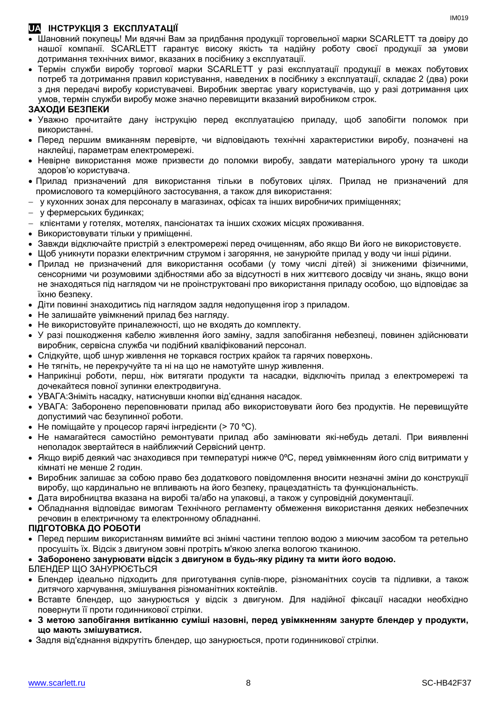## **UA ІНСТРУКЦІЯ З ЕКСПЛУАТАЦІЇ**

- Шановний покупець! Ми вдячні Вам за придбання продукції торговельної марки SCARLETT та довіру до нашої компанії. SCARLETT гарантує високу якість та надійну роботу своєї продукції за умови дотримання технічних вимог, вказаних в посібнику з експлуатації.
- Термін служби виробу торгової марки SCARLETT у разі експлуатації продукції в межах побутових потреб та дотримання правил користування, наведених в посібнику з експлуатації, складає 2 (два) роки з дня передачі виробу користувачеві. Виробник звертає увагу користувачів, що у разі дотримання цих умов, термін служби виробу може значно перевищити вказаний виробником строк.

## **ЗАХОДИ БЕЗПЕКИ**

- Уважно прочитайте дану інструкцію перед експлуатацією приладу, щоб запобігти поломок при використанні.
- Перед першим вмиканням перевірте, чи відповідають технічні характеристики виробу, позначені на наклейці, параметрам електромережі.
- Невiрне використання може призвести до поломки виробу, завдати матеріального урону та шкоди здоров'ю користувача.
- Прилад призначений для використання тільки в побутових цілях. Прилад не призначений для промислового та комерційного застосування, а також для використання:
- у кухонних зонах для персоналу в магазинах, офісах та інших виробничих приміщеннях;
- у фермерських будинках;
- клієнтами у готелях, мотелях, пансіонатах та інших схожих місцях проживання.
- Використовувати тільки у приміщенні.
- Завжди відключайте пристрій з електромережі перед очищенням, або якщо Ви його не використовуєте.
- Щоб уникнути поразки електричним струмом і загоряння, не занурюйте прилад у воду чи інші рідини.
- Прилад не призначений для використання особами (у тому числі дітей) зі зниженими фізичними, сенсорними чи розумовими здібностями або за відсутності в них життєвого досвіду чи знань, якщо вони не знаходяться під наглядом чи не проінструктовані про використання приладу особою, що відповідає за їхню безпеку.
- Діти повинні знаходитись під наглядом задля недопущення ігор з приладом.
- Не залишайте увімкнений прилад без нагляду.
- Не використовуйте приналежності, що не входять до комплекту.
- У разі пошкодження кабелю живлення його заміну, задля запобігання небезпеці, повинен здійснювати виробник, сервісна служба чи подібний кваліфікований персонал.
- Слідкуйте, щоб шнур живлення не торкався гострих крайок та гарячих поверхонь.
- Не тягніть, не перекручуйте та ні на що не намотуйте шнур живлення.
- Наприкінці роботи, перш, ніж витягати продукти та насадки, відключіть прилад з електромережі та дочекайтеся повної зупинки електродвигуна.
- УВАГА:Зніміть насадку, натиснувши кнопки від'єднання насадок.
- УВАГА: Заборонено переповнювати прилад або використовувати його без продуктів. Не перевищуйте допустимий час безупинної роботи.
- Не поміщайте у процесор гарячі інгредієнти (> 70 °С).
- Не намагайтеся самостійно ремонтувати прилад або замінювати які-небудь деталі. При виявленні неполадок звертайтеся в найближчий Сервісний центр.
- Якщо виріб деякий час знаходився при температурі нижче 0ºC, перед увімкненням його слід витримати у кімнаті не менше 2 годин.
- Виробник залишає за собою право без додаткового повідомлення вносити незначні зміни до конструкції виробу, що кардинально не впливають на його безпеку, працездатність та функціональність.
- Дата виробництва вказана на виробі та/або на упаковці, а також у супровідній документації.
- Обладнання відповідає вимогам Технічного регламенту обмеження використання деяких небезпечних речовин в електричному та електронному обладнанні.

## **ПІДГОТОВКА ДО РОБОТИ**

 Перед першим використанням вимийте всі знімні частини теплою водою з миючим засобом та ретельно просушіть їх. Відсік з двигуном зовні протріть м'якою злегка вологою тканиною.

## **Заборонено занурювати відсік з двигуном в будь-яку рідину та мити його водою.**

БЛЕНДЕР ЩО ЗАНУРЮЄТЬСЯ

- Блендер ідеально підходить для приготування супів-пюре, різноманітних соусів та підливки, а також дитячого харчування, змішування різноманітних коктейлів.
- Вставте блендер, що занурюється у відсік з двигуном. Для надійної фіксації насадки необхідно повернути її проти годинникової стрілки.
- **З метою запобігання витіканню суміші назовні, перед увімкненням занурте блендер у продукти, що мають змішуватися.**
- Задля від'єднання відкрутіть блендер, що занурюється, проти годинникової стрілки.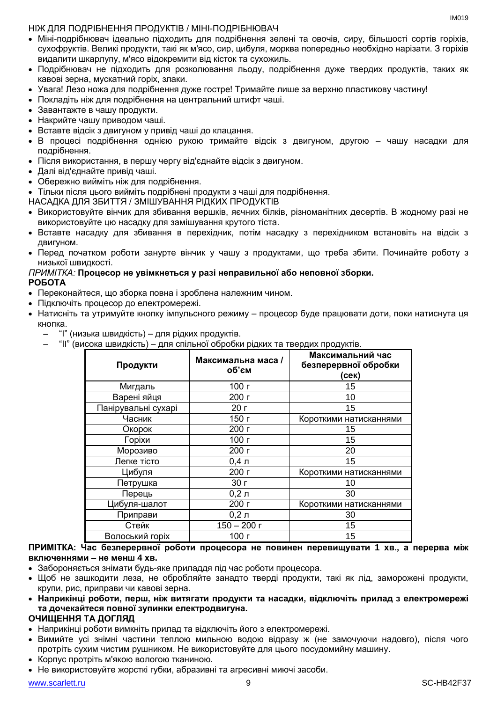$IMA01Q$ 

## НІЖ ДЛЯ ПОДРІБНЕННЯ ПРОДУКТІВ / МІНІ-ПОДРІБНЮВАЧ

- Міні-подрібнювач ідеально підходить для подрібнення зелені та овочів, сиру, більшості сортів горіхів, сухофруктів. Великі продукти, такі як м'ясо, сир, цибуля, морква попередньо необхідно нарізати. З горіхів видалити шкарлупу, м'ясо відокремити від кісток та сухожиль.
- Подрібнювач не підходить для розколювання льоду, подрібнення дуже твердих продуктів, таких як кавові зерна, мускатний горіх, злаки.
- Увага! Лезо ножа для подрібнення дуже гостре! Тримайте лише за верхню пластикову частину!
- Покладіть ніж для подрібнення на центральний штифт чаші.
- Завантажте в чашу продукти.
- Накрийте чашу приводом чаші.
- Вставте відсік з двигуном у привід чаші до клацання.
- В процесі подрібнення однією рукою тримайте відсік з двигуном, другою чашу насадки для подрібнення.
- Після використання, в першу чергу від'єднайте відсік з двигуном.
- Далі від'єднайте привід чаші.
- Обережно вийміть ніж для подрібнення.
- Тільки після цього вийміть подрібнені продукти з чаші для подрібнення.
- НАСАДКА ДЛЯ ЗБИТТЯ / ЗМІШУВАННЯ РІДКИХ ПРОДУКТІВ
- Використовуйте вінчик для збивання вершків, яєчних білків, різноманітних десертів. В жодному разі не використовуйте цю насадку для замішування крутого тіста.
- Вставте насадку для збивання в перехідник, потім насадку з перехідником встановіть на відсік з двигуном.
- Перед початком роботи занурте вінчик у чашу з продуктами, що треба збити. Починайте роботу з низької швидкості.

## *ПРИМІТКА:* **Процесор не увімкнеться у разі неправильної або неповної зборки. РОБОТА**

- Переконайтеся, що зборка повна і зроблена належним чином.
- Підключіть процесор до електромережі.
- Натисніть та утримуйте кнопку імпульсного режиму процесор буде працювати доти, поки натиснута ця кнопка.
	- "I" (низька швидкість) для рідких продуктів.
	- "II" (висока швидкість) для спільної обробки рідких та твердих продуктів.

|                     |                             | .                                                 |
|---------------------|-----------------------------|---------------------------------------------------|
| Продукти            | Максимальна маса /<br>об'єм | Максимальний час<br>безперервної обробки<br>(сек) |
| Мигдаль             | 100 г                       | 15                                                |
| Варені яйця         | 200 г                       | 10                                                |
| Панірувальні сухарі | 20r                         | 15                                                |
| Часник              | 150 г                       | Короткими натисканнями                            |
| Окорок              | 200 г                       | 15                                                |
| Горіхи              | 100 г                       | 15                                                |
| Морозиво            | 200 г                       | 20                                                |
| Легке тісто         | $0,4$ л                     | 15                                                |
| Цибуля              | 200 г                       | Короткими натисканнями                            |
| Петрушка            | 30 <sub>0</sub>             | 10                                                |
| Перець              | $0,2,$ л                    | 30                                                |
| Цибуля-шалот        | 200 г                       | Короткими натисканнями                            |
| Приправи            | $0,2,$ л                    | 30                                                |
| Стейк               | $150 - 200$ r               | 15                                                |
| Волоський горіх     | 100 г                       | 15                                                |

## **ПРИМІТКА: Час безперервної роботи процесора не повинен перевищувати 1 хв., а перерва між включеннями – не менш 4 хв.**

- Забороняється знімати будь-яке приладдя під час роботи процесора.
- Щоб не зашкодити леза, не обробляйте занадто тверді продукти, такі як лід, заморожені продукти, крупи, рис, приправи чи кавові зерна.
- **Наприкінці роботи, перш, ніж витягати продукти та насадки, відключіть прилад з електромережі та дочекайтеся повної зупинки електродвигуна.**

## **ОЧИЩЕННЯ ТА ДОГЛЯД**

- Наприкінці роботи вимкніть прилад та відключіть його з електромережі.
- Вимийте усі знімні частини теплою мильною водою відразу ж (не замочуючи надовго), після чого протріть сухим чистим рушником. Не використовуйте для цього посудомийну машину.
- Корпус протріть м'якою вологою тканиною.
- Не використовуйте жорсткі губки, абразивні та агресивні миючі засоби.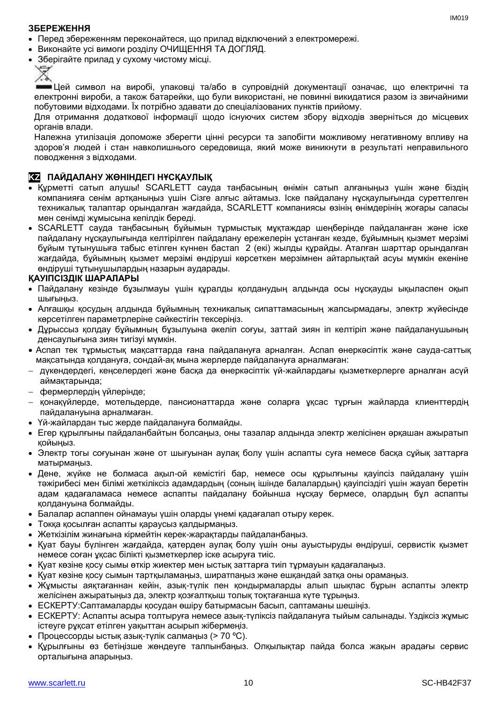## **ЗБЕРЕЖЕННЯ**

- Перед збереженням переконайтеся, що прилад відключений з електромережі.
- Виконайте усі вимоги розділу ОЧИЩЕННЯ ТА ДОГЛЯД.
- Зберігайте прилад у сухому чистому місці.



Цей символ на виробі, упаковці та/або в супровідній документації означає, що електричні та електронні вироби, а також батарейки, що були використані, не повинні викидатися разом із звичайними побутовими відходами. Їх потрібно здавати до спеціалізованих пунктів прийому.

Для отримання додаткової інформації щодо існуючих систем збору відходів зверніться до місцевих органів влади.

Належна утилізація допоможе зберегти цінні ресурси та запобігти можливому негативному впливу на здоров'я людей і стан навколишнього середовища, який може виникнути в результаті неправильного поводження з відходами.

## **KZ ПАЙДАЛАНУ ЖӨНІНДЕГІ НҰСҚАУЛЫҚ**

- Құрметті сатып алушы! SCARLETT сауда таңбасының өнімін сатып алғаныңыз үшін және біздің компанияға сенім артқаныңыз үшін Сізге алғыс айтамыз. Іске пайдалану нұсқаулығында суреттелген техникалық талаптар орындалған жағдайда, SCARLETT компаниясы өзінің өнімдерінің жоғары сапасы мен сенімді жұмысына кепілдік береді.
- SCARLETT сауда таңбасының бұйымын тұрмыстық мұқтаждар шеңберінде пайдаланған және іске пайдалану нұсқаулығында келтірілген пайдалану ережелерін ұстанған кезде, бұйымның қызмет мерзімі бұйым тұтынушыға табыс етілген күннен бастап 2 (екі) жылды құрайды. Аталған шарттар орындалған жағдайда, бұйымның қызмет мерзімі өндіруші көрсеткен мерзімнен айтарлықтай асуы мүмкін екеніне өндіруші тұтынушылардың назарын аударады.

## **ҚАУІПСІЗДІК ШАРАЛАРЫ**

- Пайдалану кезінде бұзылмауы үшін құралды қолданудың алдында осы нұсқауды ықыласпен оқып шығыңыз.
- Алғашқы қосудың алдында бұйымның техникалық сипаттамасының жапсырмадағы, электр жүйесінде көрсетілген параметрлеріне сәйкестігін тексеріңіз.
- Дұрыссыз қолдау бұйымның бұзылуына әкеліп соғуы, заттай зиян іп келтіріп және пайдаланушының денсаулығына зиян тигізуі мүмкін.
- Аспап тек тұрмыстық мақсаттарда ғана пайдалануға арналған. Аспап өнеркәсіптік және сауда-саттық мақсатында қолдануға, сондай-ақ мына жерлерде пайдалануға арналмаған:
- дүкендердегі, кеңселердегі және басқа да өнеркәсіптік үй-жайлардағы қызметкерлерге арналған асүй аймақтарында;
- фермерлердің үйлерінде;
- қонақүйлерде, мотельдерде, пансионаттарда және соларға ұқсас тұрғын жайларда клиенттердің пайдалануына арналмаған.
- Үй-жайлардан тыс жерде пайдалануға болмайды.
- Егер құрылғыны пайдаланбайтын болсаңыз, оны тазалар алдында электр желісінен әрқашан ажыратып қойыңыз.
- Электр тогы соғуынан және от шығуынан аулақ болу үшін аспапты суға немесе басқа сұйық заттарға матырмаңыз.
- Дене, жүйке не болмаса ақыл-ой кемістігі бар, немесе осы құрылғыны қауіпсіз пайдалану үшін тәжірибесі мен білімі жеткіліксіз адамдардың (соның ішінде балалардың) қауіпсіздігі үшін жауап беретін адам қадағаламаса немесе аспапты пайдалану бойынша нұсқау бермесе, олардың бұл аспапты қолдануына болмайды.
- Балалар аспаппен ойнамауы үшін оларды үнемі қадағалап отыру керек.
- Токқа қосылған аспапты қараусыз қалдырмаңыз.
- Жеткізілім жинағына кірмейтін керек-жарақтарды пайдаланбаңыз.
- Қуат бауы бүлінген жағдайда, қатерден аулақ болу үшін оны ауыстыруды өндіруші, сервистік қызмет немесе соған ұқсас білікті қызметкерлер іске асыруға тиіс.
- Қуат көзіне қосу сымы өткір жиектер мен ыстық заттарға тиіп тұрмауын қадағалаңыз.
- Қуат көзіне қосу сымын тартқыламаңыз, ширатпаңыз және ешқандай затқа оны орамаңыз.
- Жұмысты аяқтағаннан кейін, азық-түлік пен қондырмаларды алып шықпас бұрын аспапты электр желісінен ажыратыңыз да, электр қозғалтқыш толық тоқтағанша күте тұрыңыз.
- ЕСКЕРТУ:Саптамаларды қосудан өшіру батырмасын басып, саптаманы шешіңіз.
- ЕСКЕРТУ: Аспапты асыра толтыруға немесе азық-түліксіз пайдалануға тыйым салынады. Үздіксіз жұмыс істеуге рұқсат етілген уақыттан асырып жібермеңіз.
- Процессорды ыстық азық-түлік салмаңыз (> 70 ºC).
- Құрылғыны өз бетіңізше жөндеуге талпынбаңыз. Олқылықтар пайда болса жақын арадағы сервис орталығына апарыңыз.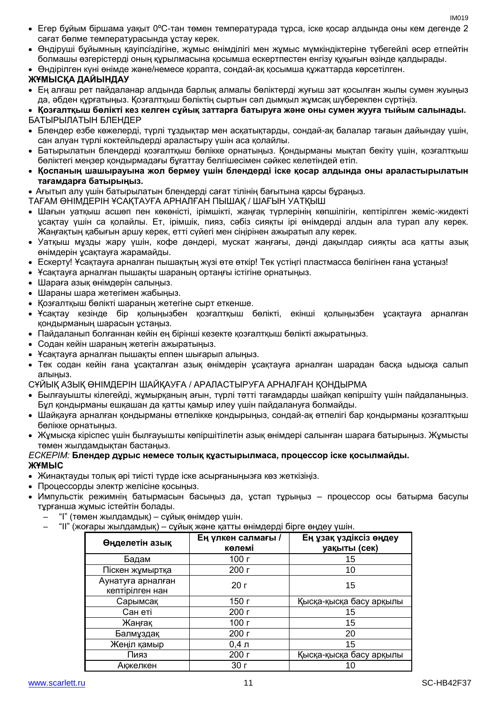- Егер бұйым біршама уақыт 0ºC-тан төмен температурада тұрса, іске қосар алдында оны кем дегенде 2 сағат бөлме температурасында ұстау керек.
- Өндіруші бұйымның қауіпсіздігіне, жұмыс өнімділігі мен жұмыс мүмкіндіктеріне түбегейлі әсер етпейтін болмашы өзгерістерді оның құрылмасына қосымша ескертпестен енгізу құқығын өзінде қалдырады.
- Өндірілген күні өнімде және/немесе қорапта, сондай-ақ қосымша құжаттарда көрсетілген.

## **ЖҰМЫСҚА ДАЙЫНДАУ**

- Ең алғаш рет пайдаланар алдында барлық алмалы бөліктерді жуғыш зат қосылған жылы сумен жуыңыз да, әбден құрғатыңыз. Қозғалтқыш бөліктің сыртын сәл дымқыл жұмсақ шүберекпен сүртіңіз.
- **Қозғалтқыш бөлікті кез келген сұйық заттарға батыруға және оны сумен жууға тыйым салынады.** БАТЫРЫЛАТЫН БЛЕНДЕР
- Блендер езбе көжелерді, түрлі тұздықтар мен асқатықтарды, сондай-ақ балалар тағаын дайындау үшін, сан алуан түрлі коктейльдерді араластыру үшін аса қолайлы.
- Батырылатын блендерді қозғалтқыш бөлікке орнатыңыз. Қондырманы мықтап бекіту үшін, қозғалтқыш бөліктегі меңзер қондырмадағы бұғаттау белгішесімен сәйкес келетіндей етіп.
- **Қоспаның шашырауына жол бермеу үшін блендерді іске қосар алдында оны араластырылатын тағамдарға батырыңыз.**

Ағытып алу үшін батырылатын блендерді сағат тілінің бағытына қарсы бұраңыз.

ТАҒАМ ӨНІМДЕРІН ҰСАҚТАУҒА АРНАЛҒАН ПЫШАҚ / ШАҒЫН УАТҚЫШ

- Шағын уатқыш асшөп пен көкөністі, ірімшікті, жаңғақ түрлерінің көпшілігін, кептірілген жеміс-жидекті ұсақтау үшін са қолайлы. Ет, ірімшік, пияз, сәбіз сияқты ірі өнімдерді алдын ала турап алу керек. Жаңғақтың қабығын аршу керек, етті сүйегі мен сіңірінен ажыратып алу керек.
- Уатқыш мұзды жару үшін, кофе дәндері, мускат жаңғағы, дәнді дақылдар сияқты аса қатты азық өнімдерін ұсақтауға жарамайды.
- Ескерту! Ұсақтауға арналған пышақтың жүзі өте өткір! Тек үстіңгі пластмасса бөлігінен ғана ұстаңыз!
- Ұсақтауға арналған пышақты шараның ортаңғы істігіне орнатыңыз.
- Шараға азық өнімдерін салыңыз.
- Шараны шара жетегімен жабыңыз.
- Қозғалтқыш бөлікті шараның жетегіне сырт еткенше.
- Ұсақтау кезінде бір қолыңызбен қозғалтқыш бөлікті, екінші қолыңызбен ұсақтауға арналған қондырманың шарасын ұстаңыз.
- Пайдаланып болғаннан кейін ең бірінші кезекте қозғалтқыш бөлікті ажыратыңыз.
- Содан кейін шараның жетегін ажыратыңыз.
- Ұсақтауға арналған пышақты еппен шығарып алыңыз.
- Тек содан кейін ғана ұсақталған азық өнімдерін ұсақтауға арналған шарадан басқа ыдысқа салып алыңыз.

СҰЙЫҚ АЗЫҚ ӨНІМДЕРІН ШАЙҚАУҒА / АРАЛАСТЫРУҒА АРНАЛҒАН ҚОНДЫРМА

- Былғауышты кілегейді, жұмырқаның ағын, түрлі тәтті тағамдарды шайқап көпіршіту үшін пайдаланыңыз. Бұл қондырманы ешқашан да қатты қамыр илеу үшін пайдалануға болмайды.
- Шайқауға арналған қондырманы өтпелікке қондырыңыз, сондай-ақ өтпелігі бар қондырманы қозғалтқыш бөлікке орнатыңыз.
- Жұмысқа кіріспес үшін былғауышты көпіршітілетін азық өнімдері салынған шараға батырыңыз. Жұмысты төмен жылдамдықтан бастаңыз.

## *ЕСКЕРІМ:* **Блендер дұрыс немесе толық құастырылмаса, процессор іске қосылмайды. ЖҰМЫС**

- Жинақтауды толық әрі тиісті түрде іске асырғаныңызға көз жеткізіңіз.
- Процессорды электр желісіне қосыңыз.
- Импульстік режимнің батырмасын басыңыз да, ұстап тұрыңыз процессор осы батырма басулы тұрғанша жұмыс істейтін болады.
	- "I" (төмен жылдамдық) сұйық өнімдер үшін.
	- "II" (жоғары жылдамдық) сұйық және қатты өнімдерді бірге өңдеу үшін.

| Өңделетін азық                       | Ең үлкен салмағы /<br>көлемі | Ең ұзақ үздіксіз өңдеу<br>уақыты (сек) |
|--------------------------------------|------------------------------|----------------------------------------|
| Бадам                                | 100 г                        | 15                                     |
| Піскен жұмыртқа                      | 200 г                        | 10                                     |
| Аунатуға арналған<br>кептірілген нан | 20r                          | 15                                     |
| Сарымсақ                             | 150 г                        | Қысқа-қысқа басу арқылы                |
| Сан еті                              | 200 г                        | 15                                     |
| Жаңғақ                               | 100 г                        | 15                                     |
| Балмұздақ                            | 200 г                        | 20                                     |
| Жеңіл қамыр                          | $0,4$ л                      | 15                                     |
| Пияз                                 | 200 г                        | Қысқа-қысқа басу арқылы                |
| Акжелкен                             | 30 <sub>l</sub>              |                                        |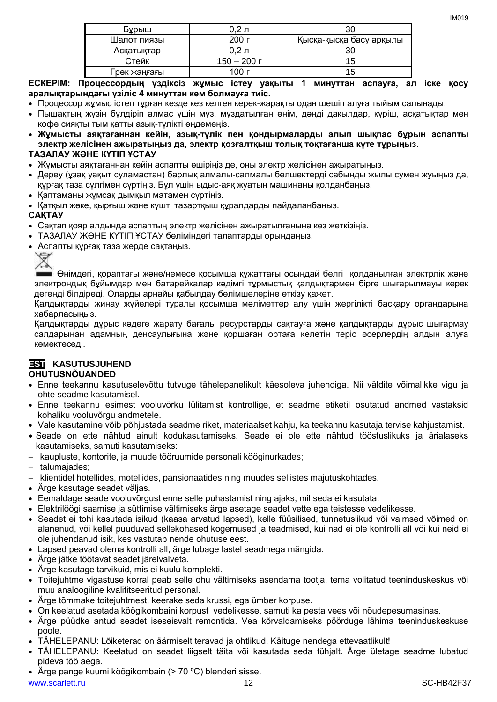| Бурыш        | 0.2 л       | 30                      |
|--------------|-------------|-------------------------|
| Шалот пиязы  | 200r        | Қысқа-қысқа басу арқылы |
| Асқатықтар   | $0.2 \pi$   | 30                      |
| Стейк        | 150 — 200 г | 15                      |
| Грек жаңғағы | 00 г        | 15                      |

**ЕСКЕРІМ: Процессордың үздіксіз жұмыс істеу уақыты 1 минуттан аспауға, ал іске қосу аралықтарындағы үзіліс 4 минуттан кем болмауға тиіс.** 

- Процессор жұмыс істеп тұрған кезде кез келген керек-жарақты одан шешіп алуға тыйым салынады.
- Пышақтың жүзін бүлдіріп алмас үшін мұз, мұздатылған өнім, дәнді дақылдар, күріш, асқатықтар мен кофе сияқты тым қатты азық-түлікті өңдемеңіз.
- **Жұмысты аяқтағаннан кейін, азық-түлік пен қондырмаларды алып шықпас бұрын аспапты электр желісінен ажыратыңыз да, электр қозғалтқыш толық тоқтағанша күте тұрыңыз.**

## **ТАЗАЛАУ ЖӘНЕ КҮТІП ҰСТАУ**

- Жұмысты аяқтағаннан кейін аспапты өшіріңіз де, оны электр желісінен ажыратыңыз.
- Дереу (ұзақ уақыт суламастан) барлық алмалы-салмалы бөлшектерді сабынды жылы сумен жуыңыз да, құрғақ таза сүлгімен сүртіңіз. Бұл үшін ыдыс-аяқ жуатын машинаны қолданбаңыз.
- Қаптаманы жұмсақ дымқыл матамен сүртіңіз.
- Қатқыл жөке, қырғыш және күшті тазартқыш құралдарды пайдаланбаңыз.

## **САҚТАУ**

- Сақтап қояр алдында аспаптың электр желісінен ажыратылғанына көз жеткізіңіз.
- ТАЗАЛАУ ЖӘНЕ КҮТІП ҰСТАУ бөліміндегі талаптарды орындаңыз.
- Аспапты құрғақ таза жерде сақтаңыз.

Өнімдегі, қораптағы және/немесе қосымша құжаттағы осындай белгі қолданылған электрлік және электрондық бұйымдар мен батарейкалар кәдімгі тұрмыстық қалдықтармен бірге шығарылмауы керек дегенді білдіреді. Оларды арнайы қабылдау бөлімшелеріне өткізу қажет.

Қалдықтарды жинау жүйелері туралы қосымша мәліметтер алу үшін жергілікті басқару органдарына хабарласыңыз.

Қалдықтарды дұрыс кәдеге жарату бағалы ресурстарды сақтауға және қалдықтарды дұрыс шығармау салдарынан адамның денсаулығына және қоршаған ортаға келетін теріс әсерлердің алдын алуға көмектеседі.

## **EST KASUTUSJUHEND**

## **OHUTUSNÕUANDED**

- Enne teekannu kasutuselevõttu tutvuge tähelepanelikult käesoleva juhendiga. Nii väldite võimalikke vigu ja ohte seadme kasutamisel.
- Enne teekannu esimest vooluvõrku lülitamist kontrollige, et seadme etiketil osutatud andmed vastaksid kohaliku vooluvõrgu andmetele.
- Vale kasutamine võib põhjustada seadme riket, materiaalset kahju, ka teekannu kasutaja tervise kahjustamist.
- Seade on ette nähtud ainult kodukasutamiseks. Seade ei ole ette nähtud tööstuslikuks ja ärialaseks kasutamiseks, samuti kasutamiseks:
- kaupluste, kontorite, ja muude tööruumide personali kööginurkades;
- talumajades;
- klientidel hotellides, motellides, pansionaatides ning muudes sellistes majutuskohtades.
- Ärge kasutage seadet väljas.
- Eemaldage seade vooluvõrgust enne selle puhastamist ning ajaks, mil seda ei kasutata.
- Elektrilöögi saamise ja süttimise vältimiseks ärge asetage seadet vette ega teistesse vedelikesse.
- Seadet ei tohi kasutada isikud (kaasa arvatud lapsed), kelle füüsilised, tunnetuslikud või vaimsed võimed on alanenud, või kellel puuduvad sellekohased kogemused ja teadmised, kui nad ei ole kontrolli all või kui neid ei ole juhendanud isik, kes vastutab nende ohutuse eest.
- Lapsed peavad olema kontrolli all, ärge lubage lastel seadmega mängida.
- Ärge jätke töötavat seadet järelvalveta.
- Ärge kasutage tarvikuid, mis ei kuulu komplekti.
- Toitejuhtme vigastuse korral peab selle ohu vältimiseks asendama tootja, tema volitatud teeninduskeskus või muu analoogiline kvalifitseeritud personal.
- Ärge tõmmake toitejuhtmest, keerake seda krussi, ega ümber korpuse.
- On keelatud asetada köögikombaini korpust vedelikesse, samuti ka pesta vees või nõudepesumasinas.
- Ärge püüdke antud seadet iseseisvalt remontida. Vea kõrvaldamiseks pöörduge lähima teeninduskeskuse poole.
- TÄHELEPANU: Lõiketerad on äärmiselt teravad ja ohtlikud. Käituge nendega ettevaatlikult!
- TÄHELEPANU: Keelatud on seadet liigselt täita või kasutada seda tühjalt. Ärge ületage seadme lubatud pideva töö aega.
- Ärge pange kuumi köögikombain (> 70 ºC) blenderi sisse.

www.scarlett.ru 12 SC-HB42F37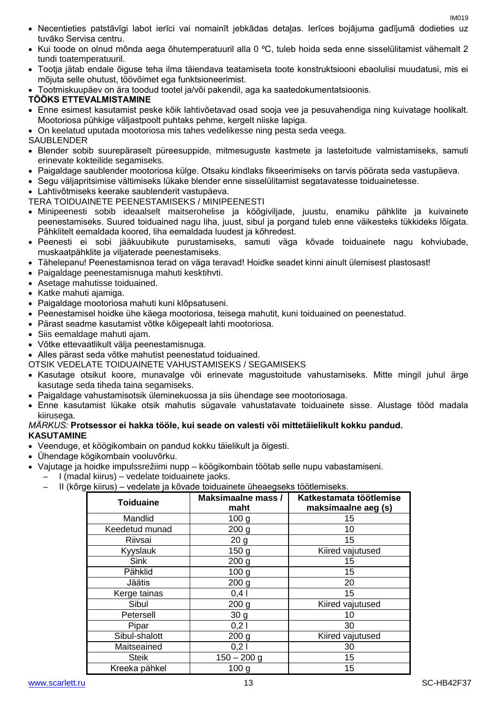- Necentieties patstāvīgi labot ierīci vai nomainīt jebkādas detaļas. Ierīces bojājuma gadījumā dodieties uz tuvāko Servisa centru.
- Kui toode on olnud mõnda aega õhutemperatuuril alla 0 ºC, tuleb hoida seda enne sisselülitamist vähemalt 2 tundi toatemperatuuril.
- Tootja jätab endale õiguse teha ilma täiendava teatamiseta toote konstruktsiooni ebaolulisi muudatusi, mis ei mõjuta selle ohutust, töövõimet ega funktsioneerimist.

Tootmiskuupäev on ära toodud tootel ja/või pakendil, aga ka saatedokumentatsioonis.

## **TÖÖKS ETTEVALMISTAMINE**

 Enne esimest kasutamist peske kõik lahtivõetavad osad sooja vee ja pesuvahendiga ning kuivatage hoolikalt. Mootoriosa pühkige väljastpoolt puhtaks pehme, kergelt niiske lapiga.

On keelatud uputada mootoriosa mis tahes vedelikesse ning pesta seda veega.

## **SAUBLENDER**

- Blender sobib suurepäraselt püreesuppide, mitmesuguste kastmete ja lastetoitude valmistamiseks, samuti erinevate kokteilide segamiseks.
- Paigaldage saublender mootoriosa külge. Otsaku kindlaks fikseerimiseks on tarvis pöörata seda vastupäeva.
- Segu väljapritsimise vältimiseks lükake blender enne sisselülitamist segatavatesse toiduainetesse.
- Lahtivõtmiseks keerake saublenderit vastupäeva.

## TERA TOIDUAINETE PEENESTAMISEKS / MINIPEENESTI

- Minipeenesti sobib ideaalselt maitserohelise ja köögiviljade, juustu, enamiku pähklite ja kuivainete peenestamiseks. Suured toiduained nagu liha, juust, sibul ja porgand tuleb enne väikesteks tükkideks lõigata. Pähklitelt eemaldada koored, liha eemaldada luudest ja kõhredest.
- Peenesti ei sobi jääkuubikute purustamiseks, samuti väga kõvade toiduainete nagu kohviubade, muskaatpähklite ja viljaterade peenestamiseks.
- Tähelepanu! Peenestamisnoa terad on väga teravad! Hoidke seadet kinni ainult ülemisest plastosast!
- Paigaldage peenestamisnuga mahuti kesktihvti.
- Asetage mahutisse toiduained.
- Katke mahuti ajamiga.
- Paigaldage mootoriosa mahuti kuni klõpsatuseni.
- Peenestamisel hoidke ühe käega mootoriosa, teisega mahutit, kuni toiduained on peenestatud.
- Pärast seadme kasutamist võtke kõigepealt lahti mootoriosa.
- Siis eemaldage mahuti ajam.
- Võtke ettevaatlikult välja peenestamisnuga.
- Alles pärast seda võtke mahutist peenestatud toiduained.
- OTSIK VEDELATE TOIDUAINETE VAHUSTAMISEKS / SEGAMISEKS
- Kasutage otsikut koore, munavalge või erinevate magustoitude vahustamiseks. Mitte mingil juhul ärge kasutage seda tiheda taina segamiseks.
- Paigaldage vahustamisotsik üleminekuossa ja siis ühendage see mootoriosaga.
- Enne kasutamist lükake otsik mahutis sügavale vahustatavate toiduainete sisse. Alustage tööd madala kiirusega.

## *MÄRKUS:* **Protsessor ei hakka tööle, kui seade on valesti või mittetäielikult kokku pandud. KASUTAMINE**

- Veenduge, et köögikombain on pandud kokku täielikult ja õigesti.
- Ühendage kögikombain vooluvõrku.
- Vajutage ja hoidke impulssrežiimi nupp köögikombain töötab selle nupu vabastamiseni.
	- I (madal kiirus) vedelate toiduainete jaoks.
		- II (kõrge kiirus) vedelate ja kõvade toiduainete üheaegseks töötlemiseks.

| <b>Toiduaine</b> | <b>Maksimaalne mass /</b><br>maht | Katkestamata töötlemise<br>maksimaalne aeg (s) |
|------------------|-----------------------------------|------------------------------------------------|
| Mandlid          | 100 <sub>g</sub>                  | 15                                             |
| Keedetud munad   | 200 <sub>g</sub>                  | 10                                             |
| Riivsai          | 20 <sub>g</sub>                   | 15                                             |
| Kyyslauk         | 150 <sub>g</sub>                  | Kiired vajutused                               |
| <b>Sink</b>      | 200 <sub>g</sub>                  | 15                                             |
| Pähklid          | 100 <sub>g</sub>                  | 15                                             |
| Jäätis           | 200 <sub>g</sub>                  | 20                                             |
| Kerge tainas     | 0,41                              | 15                                             |
| Sibul            | 200 <sub>g</sub>                  | Kiired vajutused                               |
| Petersell        | 30 <sub>g</sub>                   | 10                                             |
| Pipar            | 0,21                              | 30                                             |
| Sibul-shalott    | 200 <sub>g</sub>                  | Kiired vajutused                               |
| Maitseained      | 0,21                              | 30                                             |
| <b>Steik</b>     | $150 - 200$ g                     | 15                                             |
| Kreeka pähkel    | 100 <sub>g</sub>                  | 15                                             |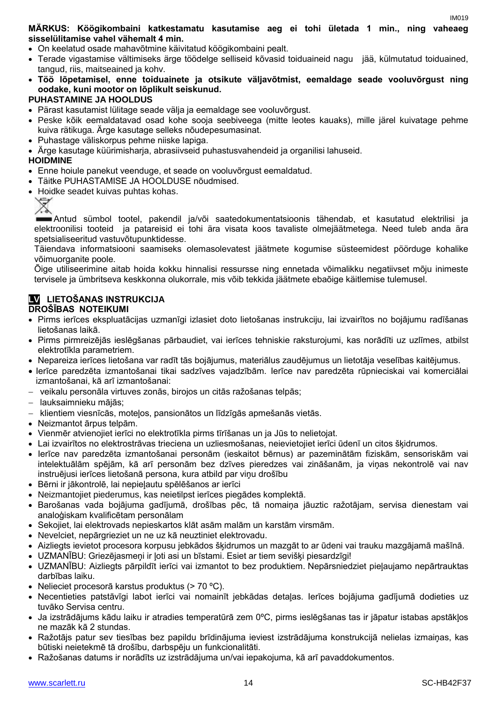## **MÄRKUS: Köögikombaini katkestamatu kasutamise aeg ei tohi ületada 1 min., ning vaheaeg sisselülitamise vahel vähemalt 4 min.**

- On keelatud osade mahavõtmine käivitatud köögikombaini pealt.
- Terade vigastamise vältimiseks ärge töödelge selliseid kõvasid toiduaineid nagu jää, külmutatud toiduained, tangud, riis, maitseained ja kohv.
- **Töö lõpetamisel, enne toiduainete ja otsikute väljavõtmist, eemaldage seade vooluvõrgust ning oodake, kuni mootor on lõplikult seiskunud.**

## **PUHASTAMINE JA HOOLDUS**

- Pärast kasutamist lülitage seade välja ja eemaldage see vooluvõrgust.
- Peske kõik eemaldatavad osad kohe sooja seebiveega (mitte leotes kauaks), mille järel kuivatage pehme kuiva rätikuga. Ärge kasutage selleks nõudepesumasinat.
- Puhastage väliskorpus pehme niiske lapiga.
- Ärge kasutage küürimisharja, abrasiivseid puhastusvahendeid ja organilisi lahuseid.

## **HOIDMINE**

- Enne hoiule panekut veenduge, et seade on vooluvõrgust eemaldatud.
- Täitke PUHASTAMISE JA HOOLDUSE nõudmised.
- Hoidke seadet kuivas puhtas kohas.



Antud sümbol tootel, pakendil ja/või saatedokumentatsioonis tähendab, et kasutatud elektrilisi ja elektroonilisi tooteid ja patareisid ei tohi ära visata koos tavaliste olmejäätmetega. Need tuleb anda ära spetsialiseeritud vastuvõtupunktidesse.

Täiendava informatsiooni saamiseks olemasolevatest jäätmete kogumise süsteemidest pöörduge kohalike võimuorganite poole.

Õige utiliseerimine aitab hoida kokku hinnalisi ressursse ning ennetada võimalikku negatiivset mõju inimeste tervisele ja ümbritseva keskkonna olukorrale, mis võib tekkida jäätmete ebaõige käitlemise tulemusel.

## **LV LIETOŠANAS INSTRUKCIJA**

## **DROŠĪBAS NOTEIKUMI**

- Pirms ierīces ekspluatācijas uzmanīgi izlasiet doto lietošanas instrukciju, lai izvairītos no bojājumu radīšanas lietošanas laikā.
- Pirms pirmreizējās ieslēgšanas pārbaudiet, vai ierīces tehniskie raksturojumi, kas norādīti uz uzlīmes, atbilst elektrotīkla parametriem.
- Nepareiza ierīces lietošana var radīt tās bojājumus, materiālus zaudējumus un lietotāja veselības kaitējumus.
- Ierīce paredzēta izmantošanai tikai sadzīves vajadzībām. Ierīce nav paredzēta rūpnieciskai vai komerciālai izmantošanai, kā arī izmantošanai:
- veikalu personāla virtuves zonās, birojos un citās ražošanas telpās;
- lauksaimnieku mājās;
- klientiem viesnīcās, moteļos, pansionātos un līdzīgās apmešanās vietās.
- Neizmantot ārpus telpām.
- Vienmēr atvienojiet ierīci no elektrotīkla pirms tīrīšanas un ja Jūs to nelietojat.
- Lai izvairītos no elektrostrāvas trieciena un uzliesmošanas, neievietojiet ierīci ūdenī un citos šķidrumos.
- Ierīce nav paredzēta izmantošanai personām (ieskaitot bērnus) ar pazeminātām fiziskām, sensoriskām vai intelektuālām spējām, kā arī personām bez dzīves pieredzes vai zināšanām, ja viņas nekontrolē vai nav instruējusi ierīces lietošanā persona, kura atbild par viņu drošību
- Bērni ir jākontrolē, lai nepieļautu spēlēšanos ar ierīci
- Neizmantojiet piederumus, kas neietilpst ierīces piegādes komplektā.
- Barošanas vada bojājuma gadījumā, drošības pēc, tā nomaiņa jāuztic ražotājam, servisa dienestam vai analoģiskam kvalificētam personālam
- Sekojiet, lai elektrovads nepieskartos klāt asām malām un karstām virsmām.
- Nevelciet, nepārgrieziet un ne uz kā neuztiniet elektrovadu.
- Aizliegts ievietot procesora korpusu jebkādos šķidrumos un mazgāt to ar ūdeni vai trauku mazgājamā mašīnā.
- UZMANĪBU: Griezējasmeņi ir ļoti asi un bīstami. Esiet ar tiem sevišķi piesardzīgi!
- UZMANĪBU: Aizliegts pārpildīt ierīci vai izmantot to bez produktiem. Nepārsniedziet pieļaujamo nepārtrauktas darbības laiku.
- Nelieciet procesorā karstus produktus  $(> 70 °C)$ .
- Necentieties patstāvīgi labot ierīci vai nomainīt jebkādas detaļas. Ierīces bojājuma gadījumā dodieties uz tuvāko Servisa centru.
- Ja izstrādājums kādu laiku ir atradies temperatūrā zem 0ºC, pirms ieslēgšanas tas ir jāpatur istabas apstākļos ne mazāk kā 2 stundas.
- Ražotājs patur sev tiesības bez papildu brīdinājuma ieviest izstrādājuma konstrukcijā nelielas izmaiņas, kas būtiski neietekmē tā drošību, darbspēju un funkcionalitāti.
- Ražošanas datums ir norādīts uz izstrādājuma un/vai iepakojuma, kā arī pavaddokumentos.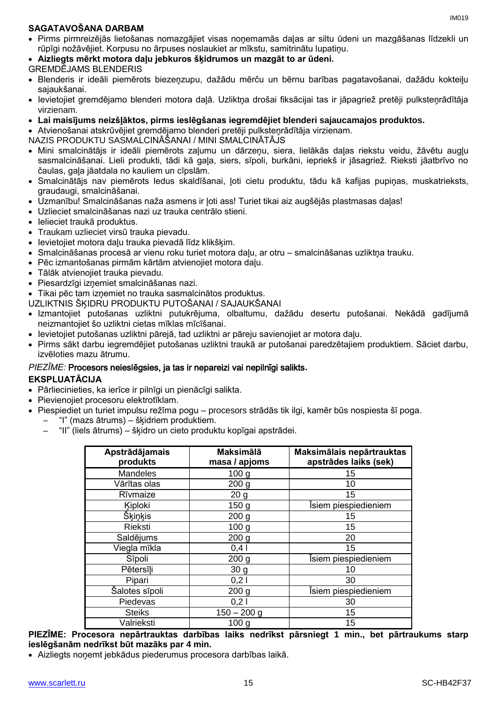## **SAGATAVOŠANA DARBAM**

- Pirms pirmreizējās lietošanas nomazgājiet visas noņemamās daļas ar siltu ūdeni un mazgāšanas līdzekli un rūpīgi nožāvējiet. Korpusu no ārpuses noslaukiet ar mīkstu, samitrinātu lupatiņu.
- **Aizliegts mērkt motora daļu jebkuros šķidrumos un mazgāt to ar ūdeni.**
- GREMDĒJAMS BLENDERIS
- Blenderis ir ideāli piemērots biezeņzupu, dažādu mērču un bērnu barības pagatavošanai, dažādu kokteiļu sajaukšanai.
- Ievietojiet gremdējamo blenderi motora daļā. Uzliktņa drošai fiksācijai tas ir jāpagriež pretēji pulksteņrādītāja virzienam.
- **Lai maisījums neizšļāktos, pirms ieslēgšanas iegremdējiet blenderi sajaucamajos produktos.**
- Atvienošanai atskrūvējiet gremdējamo blenderi pretēji pulksteņrādītāja virzienam.

NAZIS PRODUKTU SASMALCINĀŠANAI / MINI SMALCINĀTĀJS

- Mini smalcinātājs ir ideāli piemērots zaļumu un dārzeņu, siera, lielākās daļas riekstu veidu, žāvētu augļu sasmalcināšanai. Lieli produkti, tādi kā gaļa, siers, sīpoli, burkāni, iepriekš ir jāsagriež. Rieksti jāatbrīvo no čaulas, gaļa jāatdala no kauliem un cīpslām.
- Smalcinātājs nav piemērots ledus skaldīšanai, ļoti cietu produktu, tādu kā kafijas pupiņas, muskatrieksts, graudaugi, smalcināšanai.
- Uzmanību! Smalcināšanas naža asmens ir ļoti ass! Turiet tikai aiz augšējās plastmasas daļas!
- Uzlieciet smalcināšanas nazi uz trauka centrālo stieni.
- Ielieciet traukā produktus.
- Traukam uzlieciet virsū trauka pievadu.
- Ievietojiet motora daļu trauka pievadā līdz klikšķim.
- Smalcināšanas procesā ar vienu roku turiet motora daļu, ar otru smalcināšanas uzliktņa trauku.
- Pēc izmantošanas pirmām kārtām atvienojiet motora daļu.
- Tālāk atvienojiet trauka pievadu.
- Piesardzīgi izņemiet smalcināšanas nazi.
- Tikai pēc tam izņemiet no trauka sasmalcinātos produktus.
- UZLIKTNIS ŠĶIDRU PRODUKTU PUTOŠANAI / SAJAUKŠANAI
- Izmantojiet putošanas uzliktni putukrējuma, olbaltumu, dažādu desertu putošanai. Nekādā gadījumā neizmantojiet šo uzliktni cietas mīklas mīcīšanai.
- Ievietojiet putošanas uzliktni pārejā, tad uzliktni ar pāreju savienojiet ar motora daļu.
- Pirms sākt darbu iegremdējiet putošanas uzliktni traukā ar putošanai paredzētajiem produktiem. Sāciet darbu, izvēloties mazu ātrumu.

## *PIEZĪME:* Procesors neieslēgsies, ja tas ir nepareizi vai nepilnīgi salikts**.**

## **EKSPLUATĀCIJA**

- Pārliecinieties, ka ierīce ir pilnīgi un pienācīgi salikta.
- Pievienojiet procesoru elektrotīklam.
- Piespiediet un turiet impulsu režīma pogu procesors strādās tik ilgi, kamēr būs nospiesta šī poga. – "I" (mazs ātrums) – šķidriem produktiem.
	- - "II" (liels ātrums) šķidro un cieto produktu kopīgai apstrādei.

| Apstrādājamais<br>produkts | <b>Maksimālā</b><br>masa / apjoms | Maksimālais nepārtrauktas<br>apstrādes laiks (sek) |
|----------------------------|-----------------------------------|----------------------------------------------------|
| <b>Mandeles</b>            | 100 <sub>g</sub>                  | 15                                                 |
| Vārītas olas               | 200 <sub>g</sub>                  | 10                                                 |
| Rīvmaize                   | 20 <sub>g</sub>                   | 15                                                 |
| Kiploki                    | 150 <sub>g</sub>                  | Isiem piespiedieniem                               |
| <b>Šķiņķis</b>             | 200 <sub>g</sub>                  | 15                                                 |
| Rieksti                    | 100 <sub>g</sub>                  | 15                                                 |
| Saldējums                  | 200 <sub>g</sub>                  | 20                                                 |
| Viegla mīkla               | $0,4$                             | 15                                                 |
| Sīpoli                     | 200 <sub>g</sub>                  | Isiem piespiedieniem                               |
| Pētersīļi                  | 30 <sub>g</sub>                   | 10                                                 |
| Pipari                     | 0,21                              | 30                                                 |
| Šalotes sīpoli             | 200 <sub>g</sub>                  | Isiem piespiedieniem                               |
| Piedevas                   | 0,21                              | 30                                                 |
| <b>Steiks</b>              | $150 - 200$ g                     | 15                                                 |
| Valrieksti                 | 100 <sub>g</sub>                  | 15                                                 |

**PIEZĪME: Procesora nepārtrauktas darbības laiks nedrīkst pārsniegt 1 min., bet pārtraukums starp ieslēgšanām nedrīkst būt mazāks par 4 min.**

Aizliegts noņemt jebkādus piederumus procesora darbības laikā.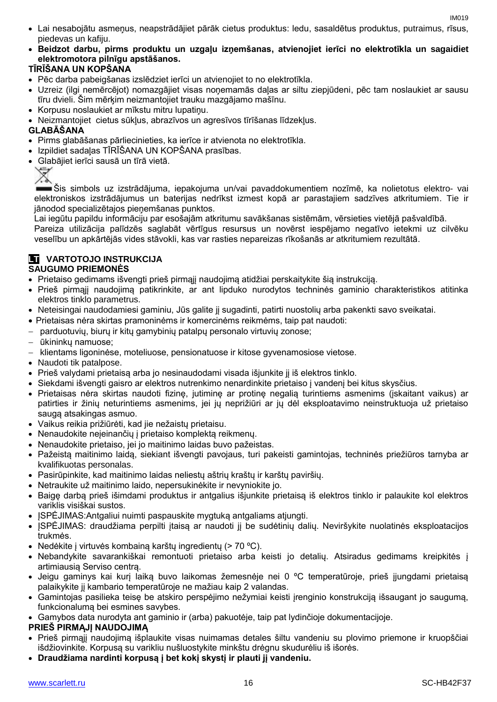- Lai nesabojātu asmeņus, neapstrādājiet pārāk cietus produktus: ledu, sasaldētus produktus, putraimus, rīsus, piedevas un kafiju.
- **Beidzot darbu, pirms produktu un uzgaļu izņemšanas, atvienojiet ierīci no elektrotīkla un sagaidiet elektromotora pilnīgu apstāšanos.**

## **TĪRĪŠANA UN KOPŠANA**

- Pēc darba pabeigšanas izslēdziet ierīci un atvienojiet to no elektrotīkla.
- Uzreiz (ilgi nemērcējot) nomazgājiet visas noņemamās daļas ar siltu ziepjūdeni, pēc tam noslaukiet ar sausu tīru dvieli. Šim mērķim neizmantojiet trauku mazgājamo mašīnu.
- Korpusu noslaukiet ar mīkstu mitru lupatiņu.
- Neizmantojiet cietus sūkļus, abrazīvos un agresīvos tīrīšanas līdzekļus.

## **GLABĀŠANA**

- Pirms glabāšanas pārliecinieties, ka ierīce ir atvienota no elektrotīkla.
- Izpildiet sadaļas TĪRĪŠANA UN KOPŠANA prasības.
- Glabājiet ierīci sausā un tīrā vietā.



Šis simbols uz izstrādājuma, iepakojuma un/vai pavaddokumentiem nozīmē, ka nolietotus elektro- vai elektroniskos izstrādājumus un baterijas nedrīkst izmest kopā ar parastajiem sadzīves atkritumiem. Tie ir jānodod specializētajos pieņemšanas punktos.

Lai iegūtu papildu informāciju par esošajām atkritumu savākšanas sistēmām, vērsieties vietējā pašvaldībā. Pareiza utilizācija palīdzēs saglabāt vērtīgus resursus un novērst iespējamo negatīvo ietekmi uz cilvēku veselību un apkārtējās vides stāvokli, kas var rasties nepareizas rīkošanās ar atkritumiem rezultātā.

## **LT VARTOTOJO INSTRUKCIJA**

## **SAUGUMO PRIEMONĖS**

- Prietaiso gedimams išvengti prieš pirmąjį naudojimą atidžiai perskaitykite šią instrukciją.
- Prieš pirmąjį naudojimą patikrinkite, ar ant lipduko nurodytos techninės gaminio charakteristikos atitinka elektros tinklo parametrus.
- Neteisingai naudodamiesi gaminiu, Jūs galite jį sugadinti, patirti nuostolių arba pakenkti savo sveikatai.
- Prietaisas nėra skirtas pramoninėms ir komercinėms reikmėms, taip pat naudoti:
- parduotuvių, biurų ir kitų gamybinių patalpų personalo virtuvių zonose;
- ūkininkų namuose;
- klientams ligoninėse, moteliuose, pensionatuose ir kitose gyvenamosiose vietose.
- Naudoti tik patalpose.
- Prieš valydami prietaisą arba jo nesinaudodami visada išjunkite jį iš elektros tinklo.
- Siekdami išvengti gaisro ar elektros nutrenkimo nenardinkite prietaiso į vandenį bei kitus skysčius.
- Prietaisas nėra skirtas naudoti fizinę, jutiminę ar protinę negalią turintiems asmenims (įskaitant vaikus) ar patirties ir žinių neturintiems asmenims, jei jų neprižiūri ar jų dėl eksploatavimo neinstruktuoja už prietaiso saugą atsakingas asmuo.
- Vaikus reikia prižiūrėti, kad jie nežaistų prietaisu.
- Nenaudokite neįeinančių į prietaiso komplektą reikmenų.
- Nenaudokite prietaiso, jei jo maitinimo laidas buvo pažeistas.
- Pažeistą maitinimo laidą, siekiant išvengti pavojaus, turi pakeisti gamintojas, techninės priežiūros tarnyba ar kvalifikuotas personalas.
- Pasirūpinkite, kad maitinimo laidas neliestų aštrių kraštų ir karštų paviršių.
- Netraukite už maitinimo laido, nepersukinėkite ir nevyniokite jo.
- Baigę darbą prieš išimdami produktus ir antgalius išjunkite prietaisą iš elektros tinklo ir palaukite kol elektros variklis visiškai sustos.
- ISPĖJIMAS: Antgaliui nuimti paspauskite mygtuką antgaliams atjungti.
- JSPĖJIMAS: draudžiama perpilti įtaisą ar naudoti jį be sudėtinių dalių. Neviršykite nuolatinės eksploatacijos trukmės.
- Nedėkite į virtuvės kombainą karštų ingredientų (> 70 ºC).
- Nebandykite savarankiškai remontuoti prietaiso arba keisti jo detalių. Atsiradus gedimams kreipkitės į artimiausią Serviso centrą.
- Jeigu gaminys kai kurį laiką buvo laikomas žemesnėje nei 0 ºC temperatūroje, prieš įjungdami prietaisą palaikykite jį kambario temperatūroje ne mažiau kaip 2 valandas.
- Gamintojas pasilieka teisę be atskiro perspėjimo nežymiai keisti įrenginio konstrukciją išsaugant jo saugumą, funkcionalumą bei esmines savybes.
- Gamybos data nurodyta ant gaminio ir (arba) pakuotėje, taip pat lydinčioje dokumentacijoje.

## **PRIEŠ PIRMĄJĮ NAUDOJIMĄ**

- Prieš pirmąjį naudojimą išplaukite visas nuimamas detales šiltu vandeniu su plovimo priemone ir kruopščiai išdžiovinkite. Korpusą su varikliu nušluostykite minkštu drėgnu skudurėliu iš išorės.
- **Draudžiama nardinti korpusą į bet kokį skystį ir plauti jį vandeniu.**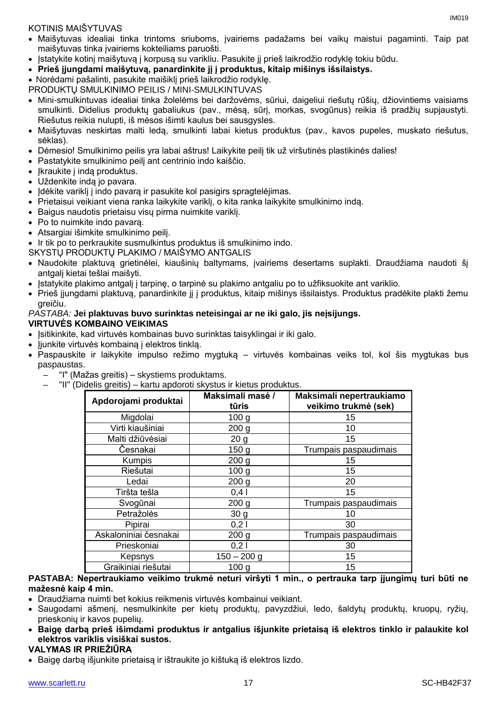## KOTINIS MAIŠYTUVAS

- Maišytuvas idealiai tinka trintoms sriuboms, įvairiems padažams bei vaikų maistui pagaminti. Taip pat maišytuvas tinka įvairiems kokteiliams paruošti.
- Įstatykite kotinį maišytuvą į korpusą su varikliu. Pasukite jį prieš laikrodžio rodyklę tokiu būdu.
- **Prieš įjungdami maišytuvą, panardinkite jį į produktus, kitaip mišinys išsilaistys.**
- Norėdami pašalinti, pasukite maišiklį prieš laikrodžio rodyklę.
- PRODUKTŲ SMULKINIMO PEILIS / MINI-SMULKINTUVAS
- Mini-smulkintuvas idealiai tinka žolelėms bei daržovėms, sūriui, daigeliui riešutų rūšių, džiovintiems vaisiams smulkinti. Didelius produktų gabaliukus (pav., mėsą, sūrį, morkas, svogūnus) reikia iš pradžių supjaustyti. Riešutus reikia nulupti, iš mėsos išimti kaulus bei sausgysles.
- Maišytuvas neskirtas malti ledą, smulkinti labai kietus produktus (pav., kavos pupeles, muskato riešutus, sėklas).
- Dėmesio! Smulkinimo peilis yra labai aštrus! Laikykite peilį tik už viršutinės plastikinės dalies!
- Pastatykite smulkinimo peilį ant centrinio indo kaiščio.
- Ikraukite į indą produktus.
- Uždenkite indą jo pavara.
- Idėkite variklį į indo pavarą ir pasukite kol pasigirs spragtelėjimas.
- Prietaisui veikiant viena ranka laikykite variklį, o kita ranka laikykite smulkinimo indą.
- Baigus naudotis prietaisu visų pirma nuimkite variklį.
- Po to nuimkite indo pavara.
- Atsargiai išimkite smulkinimo peilį.
- Ir tik po to perkraukite susmulkintus produktus iš smulkinimo indo.

SKYSTŲ PRODUKTŲ PLAKIMO / MAIŠYMO ANTGALIS

- Naudokite plaktuvą grietinėlei, kiaušinių baltymams, įvairiems desertams suplakti. Draudžiama naudoti šį antgalį kietai tešlai maišyti.
- Įstatykite plakimo antgalį į tarpinę, o tarpinė su plakimo antgaliu po to užfiksuokite ant variklio.
- Prieš įjungdami plaktuvą, panardinkite jį į produktus, kitaip mišinys išsilaistys. Produktus pradėkite plakti žemu greičiu.

## *PASTABA:* **Jei plaktuvas buvo surinktas neteisingai ar ne iki galo, jis neįsijungs.**

## **VIRTUVĖS KOMBAINO VEIKIMAS**

- Isitikinkite, kad virtuvės kombainas buvo surinktas taisyklingai ir iki galo.
- Jjunkite virtuvės kombainą į elektros tinklą.
- Paspauskite ir laikykite impulso režimo mygtuką virtuvės kombainas veiks tol, kol šis mygtukas bus paspaustas.
	- "I" (Mažas greitis) skystiems produktams.
	- "II" (Didelis greitis) kartu apdoroti skystus ir kietus produktus.

| Apdorojami produktai  | Maksimali masė /<br>tūris | Maksimali nepertraukiamo<br>veikimo trukmė (sek) |
|-----------------------|---------------------------|--------------------------------------------------|
| Migdolai              | 100 <sub>g</sub>          | 15                                               |
| Virti kiaušiniai      | 200 <sub>g</sub>          | 10                                               |
| Malti džiūvėsiai      | 20 <sub>g</sub>           | 15                                               |
| Česnakai              | 150 <sub>g</sub>          | Trumpais paspaudimais                            |
| Kumpis                | 200 <sub>q</sub>          | 15                                               |
| Riešutai              | 100 <sub>g</sub>          | 15                                               |
| Ledai                 | 200 <sub>g</sub>          | 20                                               |
| Tiršta tešla          | 0,41                      | 15                                               |
| Svogūnai              | 200 <sub>g</sub>          | Trumpais paspaudimais                            |
| Petražolės            | 30 <sub>g</sub>           | 10                                               |
| Pipirai               | 0,21                      | 30                                               |
| Askaloniniai česnakai | 200 <sub>g</sub>          | Trumpais paspaudimais                            |
| Prieskoniai           | 0,21                      | 30                                               |
| Kepsnys               | $150 - 200$ g             | 15                                               |
| Graikiniai riešutai   | 100 <sub>g</sub>          | 15                                               |

### **PASTABA: Nepertraukiamo veikimo trukmė neturi viršyti 1 min., o pertrauka tarp įjungimų turi būti ne mažesnė kaip 4 min.**

- Draudžiama nuimti bet kokius reikmenis virtuvės kombainui veikiant.
- Saugodami ašmenį, nesmulkinkite per kietų produktų, pavyzdžiui, ledo, šaldytų produktų, kruopų, ryžių, prieskonių ir kavos pupelių.
- **Baigę darbą prieš išimdami produktus ir antgalius išjunkite prietaisą iš elektros tinklo ir palaukite kol elektros variklis visiškai sustos.**

## **VALYMAS IR PRIEŽIŪRA**

Baigę darbą išjunkite prietaisą ir ištraukite jo kištuką iš elektros lizdo.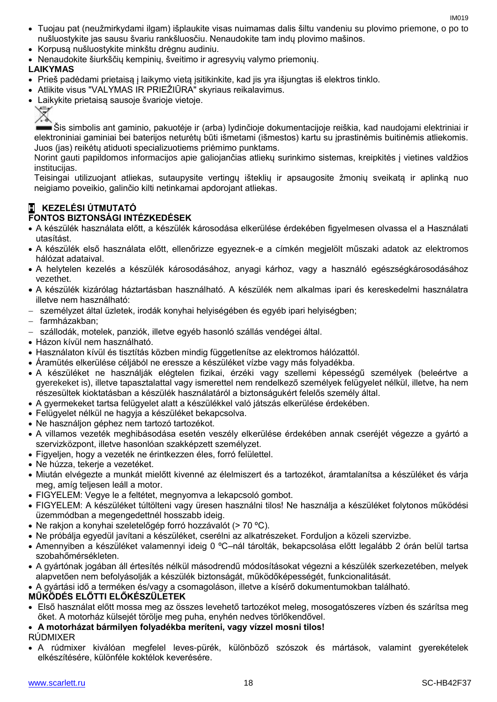- Tuojau pat (neužmirkydami ilgam) išplaukite visas nuimamas dalis šiltu vandeniu su plovimo priemone, o po to nušluostykite jas sausu švariu rankšluosčiu. Nenaudokite tam indų plovimo mašinos.
- Korpusą nušluostykite minkštu drėgnu audiniu.
- Nenaudokite šiurkščių kempinių, šveitimo ir agresyvių valymo priemonių.

## **LAIKYMAS**

- Prieš padėdami prietaisą į laikymo vietą įsitikinkite, kad jis yra išjungtas iš elektros tinklo.
- Atlikite visus "VALYMAS IR PRIEŽIŪRA" skyriaus reikalavimus.
- Laikykite prietaisą sausoje švarioje vietoje.



Šis simbolis ant gaminio, pakuotėje ir (arba) lydinčioje dokumentacijoje reiškia, kad naudojami elektriniai ir elektroniniai gaminiai bei baterijos neturėtų būti išmetami (išmestos) kartu su įprastinėmis buitinėmis atliekomis. Juos (jas) reikėtų atiduoti specializuotiems priėmimo punktams.

Norint gauti papildomos informacijos apie galiojančias atliekų surinkimo sistemas, kreipkitės į vietines valdžios institucijas.

Teisingai utilizuojant atliekas, sutaupysite vertingų išteklių ir apsaugosite žmonių sveikatą ir aplinką nuo neigiamo poveikio, galinčio kilti netinkamai apdorojant atliekas.

## **H KEZELÉSI ÚTMUTATÓ**

## **FONTOS BIZTONSÁGI INTÉZKEDÉSEK**

- A készülék használata előtt, a készülék károsodása elkerülése érdekében figyelmesen olvassa el a Használati utasítást.
- A készülék első használata előtt, ellenőrizze egyeznek-e a címkén megjelölt műszaki adatok az elektromos hálózat adataival.
- A helytelen kezelés a készülék károsodásához, anyagi kárhoz, vagy a használó egészségkárosodásához vezethet.
- A készülék kizárólag háztartásban használható. A készülék nem alkalmas ipari és kereskedelmi használatra illetve nem használható:
- személyzet által üzletek, irodák konyhai helyiségében és egyéb ipari helyiségben;
- farmházakban;
- szállodák, motelek, panziók, illetve egyéb hasonló szállás vendégei által.
- Házon kívül nem használható.
- Használaton kívül és tisztítás közben mindig függetlenítse az elektromos hálózattól.
- Áramütés elkerülése céljából ne eressze a készüléket vízbe vagy más folyadékba.
- A készüléket ne használják elégtelen fizikai, érzéki vagy szellemi képességű személyek (beleértve a gyerekeket is), illetve tapasztalattal vagy ismerettel nem rendelkező személyek felügyelet nélkül, illetve, ha nem részesültek kioktatásban a készülék használatáról a biztonságukért felelős személy által.
- A gyermekeket tartsa felügyelet alatt a készülékkel való játszás elkerülése érdekében.
- Felügyelet nélkül ne hagyja a készüléket bekapcsolva.
- Ne használjon géphez nem tartozó tartozékot.
- A villamos vezeték meghibásodása esetén veszély elkerülése érdekében annak cseréjét végezze a gyártó a szervizközpont, illetve hasonlóan szakképzett személyzet.
- Figyeljen, hogy a vezeték ne érintkezzen éles, forró felülettel.
- Ne húzza, tekerje a vezetéket.
- Miután elvégezte a munkát mielőtt kivenné az élelmiszert és a tartozékot, áramtalanítsa a készüléket és várja meg, amíg teljesen leáll a motor.
- FIGYELEM: Vegye le a feltétet, megnyomva a lekapcsoló gombot.
- FIGYELEM: A készüléket túltölteni vagy üresen használni tilos! Ne használja a készüléket folytonos működési üzemmódban a megengedettnél hosszabb ideig.
- Ne rakjon a konyhai szeletelőgép forró hozzávalót (> 70 ºC).
- Ne próbálja egyedül javítani a készüléket, cserélni az alkatrészeket. Forduljon a közeli szervizbe.
- Amennyiben a készüléket valamennyi ideig 0 ºC–nál tárolták, bekapcsolása előtt legalább 2 órán belül tartsa szobahőmérsékleten.
- A gyártónak jogában áll értesítés nélkül másodrendű módosításokat végezni a készülék szerkezetében, melyek alapvetően nem befolyásolják a készülék biztonságát, működőképességét, funkcionalitását.

A gyártási idő a terméken és/vagy a csomagoláson, illetve a kísérő dokumentumokban található.

## **MŰKÖDÉS ELŐTTI ELŐKÉSZÜLETEK**

 Első használat előtt mossa meg az összes levehető tartozékot meleg, mosogatószeres vízben és szárítsa meg őket. A motorház külsejét törölje meg puha, enyhén nedves törlőkendővel.

## **A motorházat bármilyen folyadékba meríteni, vagy vízzel mosni tilos!** RÚDMIXER

 A rúdmixer kiválóan megfelel leves-pürék, különböző szószok és mártások, valamint gyerekételek elkészítésére, különféle koktélok keverésére.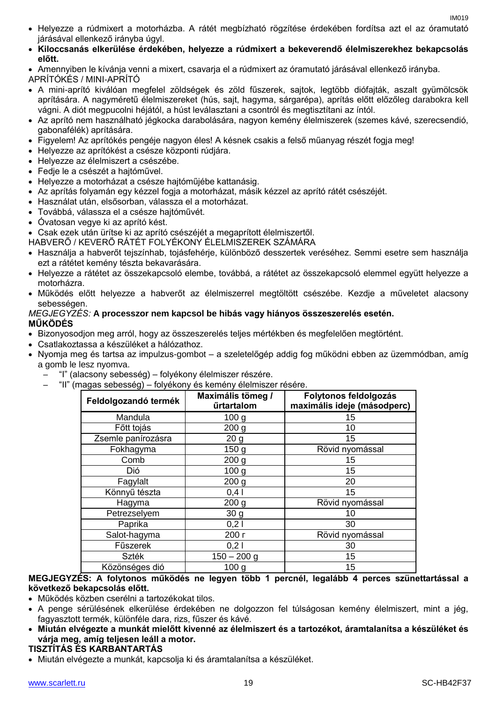- Helyezze a rúdmixert a motorházba. A rátét megbízható rögzítése érdekében fordítsa azt el az óramutató járásával ellenkező irányba úgyl.
- **Kiloccsanás elkerülése érdekében, helyezze a rúdmixert a bekeverendő élelmiszerekhez bekapcsolás előtt.**

 Amennyiben le kívánja venni a mixert, csavarja el a rúdmixert az óramutató járásával ellenkező irányba. APRÍTÓKÉS / МINI-APRÍTÓ

- A mini-aprító kiválóan megfelel zöldségek és zöld fűszerek, sajtok, legtöbb diófajták, aszalt gyümölcsök aprítására. A nagyméretű élelmiszereket (hús, sajt, hagyma, sárgarépa), aprítás előtt előzőleg darabokra kell vágni. A diót megpucolni héjától, a húst leválasztani a csontról és megtisztítani az íntól.
- Az aprító nem használható jégkocka darabolására, nagyon kemény élelmiszerek (szemes kávé, szerecsendió, gabonafélék) aprítására.
- Figyelem! Az aprítókés pengéje nagyon éles! A késnek csakis a felső műanyag részét fogja meg!
- Helyezze az aprítókést a csésze központi rúdjára.
- Helyezze az élelmiszert a csészébe.
- Fedje le a csészét a hajtóművel.
- Helyezze a motorházat a csésze hajtóműjébe kattanásig.
- Az aprítás folyamán egy kézzel fogja a motorházat, másik kézzel az aprító rátét csészéjét.
- Használat után, elsősorban, válassza el a motorházat.
- Továbbá, válassza el a csésze hajtóművét.
- Óvatosan vegye ki az aprító kést.
- Csak ezek után ürítse ki az aprító csészéjét a megaprított élelmiszertől.
- HABVERŐ / KEVERŐ RÁTÉT FOLYÉKONY ÉLELMISZEREK SZÁMÁRA
- Használja a habverőt tejszínhab, tojásfehérje, különböző desszertek veréséhez. Semmi esetre sem használja ezt a rátétet kemény tészta bekavarására.
- Helyezze a rátétet az összekapcsoló elembe, továbbá, a rátétet az összekapcsoló elemmel együtt helyezze a motorházra.
- Működés előtt helyezze a habverőt az élelmiszerrel megtöltött csészébe. Kezdje a műveletet alacsony sebességen.

## *MEGJEGYZÉS:* **A processzor nem kapcsol be hibás vagy hiányos összeszerelés esetén. MŰKÖDÉS**

- Bizonyosodjon meg arról, hogy az összeszerelés teljes mértékben és megfelelően megtörtént.
- Csatlakoztassa a készüléket a hálózathoz.
- Nyomja meg és tartsa az impulzus-gombot a szeletelőgép addig fog működni ebben az üzemmódban, amíg a gomb le lesz nyomva.
	- "I" (alacsony sebesség) folyékony élelmiszer részére.
	- "II" (magas sebesség) folyékony és kemény élelmiszer résére.

| Feldolgozandó termék | Maximális tömeg /<br>űrtartalom | Folytonos feldolgozás<br>maximális ideje (másodperc) |
|----------------------|---------------------------------|------------------------------------------------------|
| Mandula              | 100 <sub>g</sub>                | 15                                                   |
| Főtt tojás           | 200 <sub>g</sub>                | 10                                                   |
| Zsemle panírozásra   | 20 <sub>g</sub>                 | 15                                                   |
| Fokhagyma            | 150 <sub>g</sub>                | Rövid nyomással                                      |
| Comb                 | 200 <sub>g</sub>                | 15                                                   |
| Dió                  | 100 <sub>g</sub>                | 15                                                   |
| Fagylalt             | 200 <sub>g</sub>                | 20                                                   |
| Könnyű tészta        | 0,41                            | 15                                                   |
| Hagyma               | 200 <sub>g</sub>                | Rövid nyomással                                      |
| Petrezselyem         | 30 <sub>g</sub>                 | 10                                                   |
| Paprika              | 0,21                            | 30                                                   |
| Salot-hagyma         | 200 г                           | Rövid nyomással                                      |
| Fűszerek             | 0,21                            | 30                                                   |
| <b>Szték</b>         | $150 - 200$ g                   | 15                                                   |
| Közönséges dió       | 100 <sub>q</sub>                | 15                                                   |

## **MEGJEGYZÉS: A folytonos működés ne legyen több 1 percnél, legalább 4 perces szünettartással a következő bekapcsolás előtt.**

- Működés közben cserélni a tartozékokat tilos.
- A penge sérülésének elkerülése érdekében ne dolgozzon fel túlságosan kemény élelmiszert, mint a jég, fagyasztott termék, különféle dara, rizs, fűszer és kávé.
- **Miután elvégezte a munkát mielőtt kivenné az élelmiszert és a tartozékot, áramtalanítsa a készüléket és várja meg, amíg teljesen leáll a motor.**

## **TISZTÍTÁS ÉS KARBANTARTÁS**

Miután elvégezte a munkát, kapcsolja ki és áramtalanítsa a készüléket.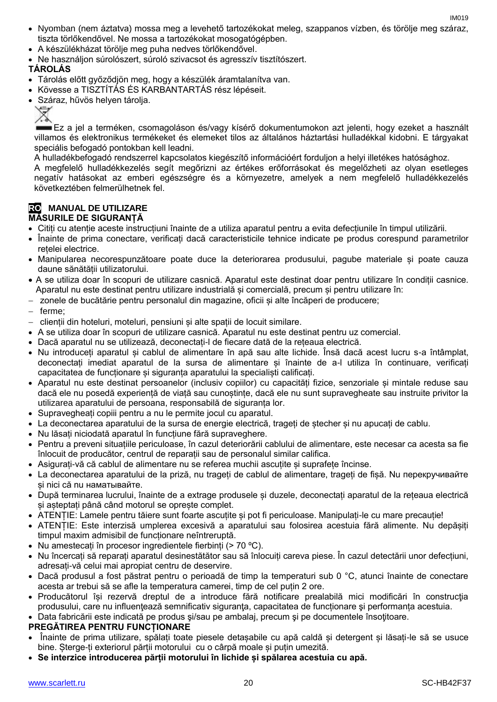- Nyomban (nem áztatva) mossa meg a levehető tartozékokat meleg, szappanos vízben, és törölje meg száraz, tiszta törlőkendővel. Ne mossa a tartozékokat mosogatógépben.
- A készülékházat törölje meg puha nedves törlőkendővel.
- Ne használjon súrolószert, súroló szivacsot és agresszív tisztítószert.

## **TÁROLÁS**

- Tárolás előtt győződjön meg, hogy a készülék áramtalanítva van.
- Kövesse a TISZTÍTÁS ÉS KARBANTARTÁS rész lépéseit.
- Száraz, hűvös helyen tárolja.
	-

Ez a jel a terméken, csomagoláson és/vagy kísérő dokumentumokon azt jelenti, hogy ezeket a használt villamos és elektronikus termékeket és elemeket tilos az általános háztartási hulladékkal kidobni. E tárgyakat speciális befogadó pontokban kell leadni.

A hulladékbefogadó rendszerrel kapcsolatos kiegészítő információért forduljon a helyi illetékes hatósághoz.

A megfelelő hulladékkezelés segít megőrizni az értékes erőforrásokat és megelőzheti az olyan esetleges negatív hatásokat az emberi egészségre és a környezetre, amelyek a nem megfelelő hulladékkezelés következtében felmerülhetnek fel.

## **RO MANUAL DE UTILIZARE**

## **MĂSURILE DE SIGURANȚĂ**

- Citiți cu atenție aceste instrucțiuni înainte de a utiliza aparatul pentru a evita defecțiunile în timpul utilizării.
- Înainte de prima conectare, verificați dacă caracteristicile tehnice indicate pe produs corespund parametrilor rețelei electrice.
- Manipularea necorespunzătoare poate duce la deteriorarea produsului, pagube materiale și poate cauza daune sănătății utilizatorului.
- A se utiliza doar în scopuri de utilizare casnică. Aparatul este destinat doar pentru utilizare în condiții casnice. Aparatul nu este destinat pentru utilizare industrială și comercială, precum și pentru utilizare în:
- zonele de bucătărie pentru personalul din magazine, oficii și alte încăperi de producere;
- $-$  ferme:
- clienții din hoteluri, moteluri, pensiuni și alte spații de locuit similare.
- A se utiliza doar în scopuri de utilizare casnică. Aparatul nu este destinat pentru uz comercial.
- Dacă aparatul nu se utilizează, deconectați-l de fiecare dată de la rețeaua electrică.
- Nu introduceți aparatul și cablul de alimentare în apă sau alte lichide. Însă dacă acest lucru s-a întâmplat, deconectați imediat aparatul de la sursa de alimentare și înainte de a-l utiliza în continuare, verificați capacitatea de funcționare și siguranța aparatului la specialiști calificați.
- Aparatul nu este destinat persoanelor (inclusiv copiilor) cu capacități fizice, senzoriale și mintale reduse sau dacă ele nu posedă experiență de viață sau cunoștințe, dacă ele nu sunt supravegheate sau instruite privitor la utilizarea aparatului de persoana, responsabilă de siguranța lor.
- Supravegheați copiii pentru a nu le permite jocul cu aparatul.
- La deconectarea aparatului de la sursa de energie electrică, trageți de ștecher și nu apucați de cablu.
- Nu lăsați niciodată aparatul în funcțiune fără supraveghere.
- Pentru a preveni situațiile periculoase, în cazul deteriorării cablului de alimentare, este necesar ca acesta sa fie înlocuit de producător, centrul de reparații sau de personalul similar califica.
- Asigurați-vă că cablul de alimentare nu se referea muchii ascuțite și suprafețe încinse.
- La deconectarea aparatului de la priză, nu trageți de cablul de alimentare, trageți de fișă. Nu перекручивайте si nici că nu наматывайте.
- După terminarea lucrului, înainte de a extrage produsele și duzele, deconectați aparatul de la rețeaua electrică și așteptați până când motorul se oprește complet.
- ATENȚIE: Lamele pentru tăiere sunt foarte ascuțite și pot fi periculoase. Manipulați-le cu mare precauție!
- ATENȚIE: Este interzisă umplerea excesivă a aparatului sau folosirea acestuia fără alimente. Nu depășiți timpul maxim admisibil de funcționare neîntreruptă.
- Nu amestecați în procesor ingredientele fierbinți (> 70 ºC).
- Nu încercați să reparați aparatul desinestătător sau să înlocuiți careva piese. În cazul detectării unor defecțiuni, adresați-vă celui mai apropiat centru de deservire.
- Dacă produsul a fost păstrat pentru o perioadă de timp la temperaturi sub 0 °C, atunci înainte de conectare acesta ar trebui să se afle la temperatura camerei, timp de cel puțin 2 ore.
- Producătorul își rezervă dreptul de a introduce fără notificare prealabilă mici modificări în construcţia produsului, care nu influențează semnificativ siguranța, capacitatea de funcționare și performanța acestuia.

Data fabricării este indicată pe produs şi/sau pe ambalaj, precum şi pe documentele însoţitoare.

## **PREGĂTIREA PENTRU FUNCȚIONARE**

- Înainte de prima utilizare, spălați toate piesele detașabile cu apă caldă și detergent și lăsați-le să se usuce bine. Șterge-ți exteriorul părții motorului cu o cârpă moale și puțin umezită.
- **Se interzice introducerea părții motorului în lichide și spălarea acestuia cu apă.**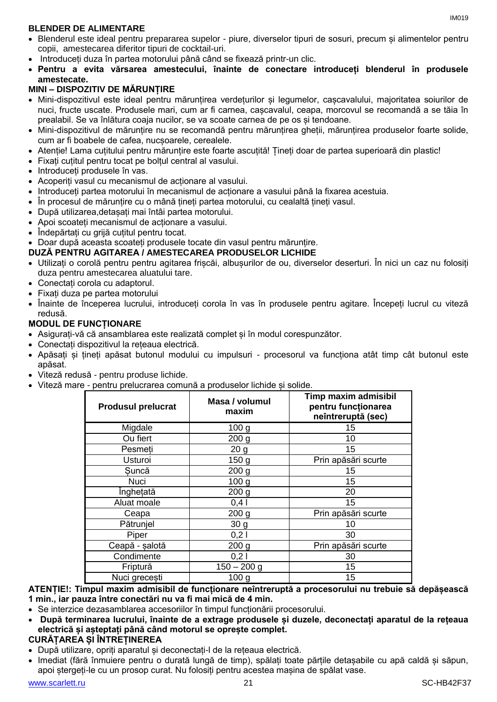## **BLENDER DE ALIMENTARE**

- Blenderul este ideal pentru prepararea supelor piure, diverselor tipuri de sosuri, precum și alimentelor pentru copii, amestecarea diferitor tipuri de cocktail-uri.
- Introduceți duza în partea motorului până când se fixează printr-un clic.
- **Pentru a evita vărsarea amestecului, înainte de conectare introduceți blenderul în produsele amestecate.**

## **MINI – DISPOZITIV DE MĂRUNȚIRE**

- Mini-dispozitivul este ideal pentru mărunțirea verdețurilor și legumelor, cașcavalului, majoritatea soiurilor de nuci, fructe uscate. Produsele mari, cum ar fi carnea, cașcavalul, ceapa, morcovul se recomandă a se tăia în prealabil. Se va înlătura coaja nucilor, se va scoate carnea de pe os și tendoane.
- Mini-dispozitivul de mărunțire nu se recomandă pentru mărunțirea gheții, mărunțirea produselor foarte solide, cum ar fi boabele de cafea, nucșoarele, cerealele.
- Atenție! Lama cuțitului pentru mărunțire este foarte ascuțită! Țineți doar de partea superioară din plastic!
- Fixați cuțitul pentru tocat pe bolțul central al vasului.
- Introduceti produsele în vas.
- Acoperiți vasul cu mecanismul de acționare al vasului.
- Introduceți partea motorului în mecanismul de acționare a vasului până la fixarea acestuia.
- În procesul de mărunțire cu o mână țineți partea motorului, cu cealaltă țineți vasul.
- După utilizarea,detașați mai întâi partea motorului.
- Apoi scoateți mecanismul de acționare a vasului.
- Îndepărtați cu grijă cuțitul pentru tocat.
- Doar după aceasta scoateți produsele tocate din vasul pentru mărunțire.

## **DUZĂ PENTRU AGITAREA / AMESTECAREA PRODUSELOR LICHIDE**

- Utilizați o corolă pentru pentru agitarea frișcăi, albușurilor de ou, diverselor deserturi. În nici un caz nu folosiți duza pentru amestecarea aluatului tare.
- Conectați corola cu adaptorul.
- Fixați duza pe partea motorului
- Înainte de începerea lucrului, introduceți corola în vas în produsele pentru agitare. Începeți lucrul cu viteză redusă.

## **MODUL DE FUNCȚIONARE**

- Asigurați-vă că ansamblarea este realizată complet și în modul corespunzător.
- Conectați dispozitivul la rețeaua electrică.
- Apăsați și țineți apăsat butonul modului cu impulsuri procesorul va funcționa atât timp cât butonul este apăsat.
- Viteză redusă pentru produse lichide.
- Viteză mare pentru prelucrarea comună a produselor lichide și solide.

| <b>Produsul prelucrat</b> | Masa / volumul<br>maxim | Timp maxim admisibil<br>pentru funcționarea<br>neîntreruptă (sec) |
|---------------------------|-------------------------|-------------------------------------------------------------------|
| Migdale                   | 100 <sub>g</sub>        | 15                                                                |
| Ou fiert                  | 200 <sub>g</sub>        | 10                                                                |
| Pesmeti                   | 20 <sub>g</sub>         | 15                                                                |
| Usturoi                   | 150 <sub>g</sub>        | Prin apăsări scurte                                               |
| Suncă                     | 200 <sub>g</sub>        | 15                                                                |
| Nuci                      | 100 <sub>g</sub>        | 15                                                                |
| Înghetată                 | 200 <sub>q</sub>        | 20                                                                |
| Aluat moale               | $0,4$                   | 15                                                                |
| Ceapa                     | 200 <sub>g</sub>        | Prin apăsări scurte                                               |
| Pătrunjel                 | 30 <sub>g</sub>         | 10                                                                |
| Piper                     | 0,21                    | 30                                                                |
| Ceapă - șalotă            | 200 <sub>g</sub>        | Prin apăsări scurte                                               |
| Condimente                | 0,21                    | 30                                                                |
| Friptură                  | $150 - 200$ g           | 15                                                                |
| Nuci grecesti             | 100 <sub>g</sub>        | 15                                                                |

## **ATENȚIE!: Timpul maxim admisibil de funcționare neîntreruptă a procesorului nu trebuie să depășească 1 min., iar pauza între conectări nu va fi mai mică de 4 min.**

- Se interzice dezasamblarea accesoriilor în timpul funcționării procesorului.
- **După terminarea lucrului, înainte de a extrage produsele și duzele, deconectați aparatul de la rețeaua electrică și așteptați până când motorul se oprește complet.**

## **CURĂȚAREA ȘI ÎNTREȚINEREA**

- După utilizare, opriți aparatul și deconectați-l de la rețeaua electrică.
- Imediat (fără înmuiere pentru o durată lungă de timp), spălați toate părțile detașabile cu apă caldă și săpun, apoi ștergeți-le cu un prosop curat. Nu folosiți pentru acestea mașina de spălat vase.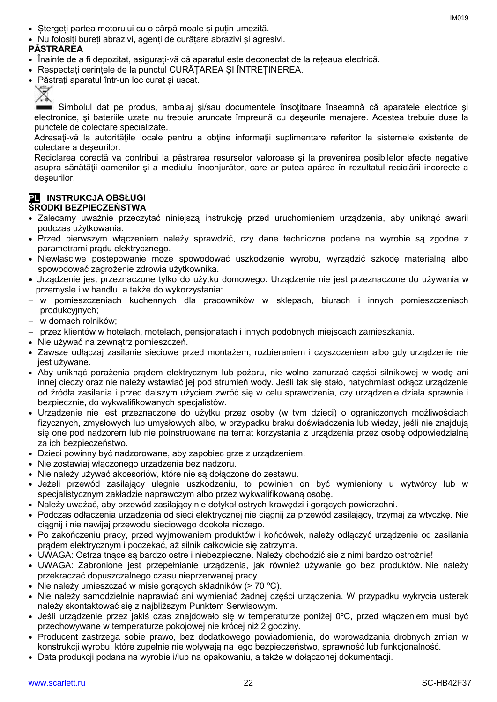- Ștergeți partea motorului cu o cârpă moale și puțin umezită.
- Nu folosiți bureți abrazivi, agenți de curățare abrazivi și agresivi.

## **PĂSTRAREA**

- Înainte de a fi depozitat, asigurați-vă că aparatul este deconectat de la rețeaua electrică.
- Respectați cerințele de la punctul CURĂȚAREA ȘI ÎNTREȚINEREA.
- Păstrați aparatul într-un loc curat și uscat.



Simbolul dat pe produs, ambalai si/sau documentele însotitoare înseamnă că aparatele electrice și electronice, şi bateriile uzate nu trebuie aruncate împreună cu deşeurile menajere. Acestea trebuie duse la punctele de colectare specializate.

Adresați-vă la autoritățile locale pentru a obține informații suplimentare referitor la sistemele existente de colectare a deşeurilor.

Reciclarea corectă va contribui la păstrarea resurselor valoroase şi la prevenirea posibilelor efecte negative asupra sănătăţii oamenilor şi a mediului înconjurător, care ar putea apărea în rezultatul reciclării incorecte a deşeurilor.

## **PL INSTRUKCJA OBSŁUGI**

## **ŚRODKI BEZPIECZEŃSTWA**

- Zalecamy uważnie przeczytać niniejszą instrukcję przed uruchomieniem urządzenia, aby uniknąć awarii podczas użytkowania.
- Przed pierwszym włączeniem należy sprawdzić, czy dane techniczne podane na wyrobie są zgodne z parametrami prądu elektrycznego.
- Niewłaściwe postępowanie może spowodować uszkodzenie wyrobu, wyrządzić szkodę materialną albo spowodować zagrożenie zdrowia użytkownika.
- Urządzenie jest przeznaczone tylko do użytku domowego. Urządzenie nie jest przeznaczone do używania w przemyśle i w handlu, a także do wykorzystania:
- w pomieszczeniach kuchennych dla pracowników w sklepach, biurach i innych pomieszczeniach produkcyjnych;
- w domach rolników;
- przez klientów w hotelach, motelach, pensjonatach i innych podobnych miejscach zamieszkania.
- Nie używać na zewnątrz pomieszczeń.
- Zawsze odłączaj zasilanie sieciowe przed montażem, rozbieraniem i czyszczeniem albo gdy urządzenie nie jest używane.
- Aby uniknąć porażenia prądem elektrycznym lub pożaru, nie wolno zanurzać części silnikowej w wodę ani innej cieczy oraz nie należy wstawiać jej pod strumień wody. Jeśli tak się stało, natychmiast odłącz urządzenie od źródła zasilania i przed dalszym użyciem zwróć się w celu sprawdzenia, czy urządzenie działa sprawnie i bezpiecznie, do wykwalifikowanych specjalistów.
- Urządzenie nie jest przeznaczone do użytku przez osoby (w tym dzieci) o ograniczonych możliwościach fizycznych, zmysłowych lub umysłowych albo, w przypadku braku doświadczenia lub wiedzy, jeśli nie znajdują się one pod nadzorem lub nie poinstruowane na temat korzystania z urządzenia przez osobę odpowiedzialną za ich bezpieczeństwo.
- Dzieci powinny być nadzorowane, aby zapobiec grze z urządzeniem.
- Nie zostawiaj włączonego urządzenia bez nadzoru.
- Nie należy używać akcesoriów, które nie są dołączone do zestawu.
- Jeżeli przewód zasilający ulegnie uszkodzeniu, to powinien on być wymieniony u wytwórcy lub w specjalistycznym zakładzie naprawczym albo przez wykwalifikowaną osobę.
- Należy uważać, aby przewód zasilający nie dotykał ostrych krawędzi i gorących powierzchni.
- Podczas odłączenia urządzenia od sieci elektrycznej nie ciągnij za przewód zasilający, trzymaj za wtyczkę. Nie ciągnij i nie nawijaj przewodu sieciowego dookoła niczego.
- Po zakończeniu pracy, przed wyjmowaniem produktów i końcówek, należy odłączyć urządzenie od zasilania prądem elektrycznym i poczekać, aż silnik całkowicie się zatrzyma.
- UWAGA: Ostrza tnące są bardzo ostre i niebezpieczne. Należy obchodzić sie z nimi bardzo ostrożnie!
- UWAGA: Zabronione jest przepełnianie urządzenia, jak również używanie go bez produktów. Nie należy przekraczać dopuszczalnego czasu nieprzerwanej pracy.
- Nie należy umieszczać w misie gorących składników (> 70 °C).
- Nie należy samodzielnie naprawiać ani wymieniać żadnej części urządzenia. W przypadku wykrycia usterek należy skontaktować się z najbliższym Punktem Serwisowym.
- Jeśli urządzenie przez jakiś czas znajdowało się w temperaturze poniżej 0°C, przed włączeniem musi być przechowywane w temperaturze pokojowej nie krócej niż 2 godziny.
- Producent zastrzega sobie prawo, bez dodatkowego powiadomienia, do wprowadzania drobnych zmian w konstrukcji wyrobu, które zupełnie nie wpływają na jego bezpieczeństwo, sprawność lub funkcjonalność.
- Data produkcji podana na wyrobie i/lub na opakowaniu, a także w dołączonej dokumentacji.

IM<sub>019</sub>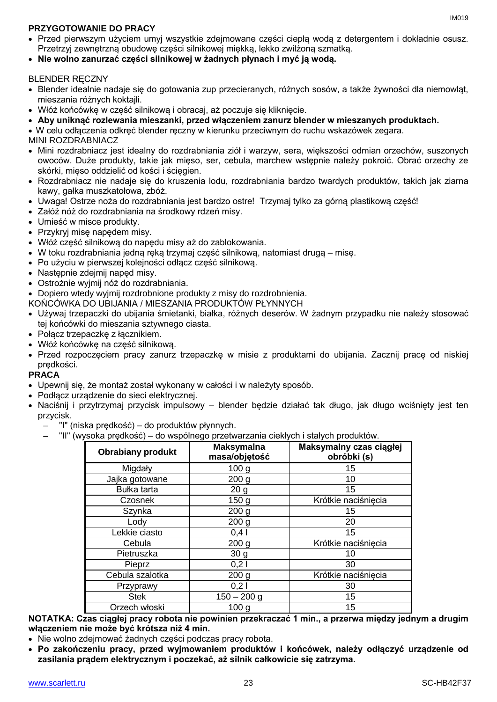## **PRZYGOTOWANIE DO PRACY**

- Przed pierwszym użyciem umyj wszystkie zdejmowane części ciepłą wodą z detergentem i dokładnie osusz. Przetrzyj zewnętrzną obudowę części silnikowej miękką, lekko zwilżoną szmatką.
- **Nie wolno zanurzać części silnikowej w żadnych płynach i myć ją wodą.**

## **BLENDER RECZNY**

- Blender idealnie nadaje się do gotowania zup przecieranych, różnych sosów, a także żywności dla niemowląt, mieszania różnych koktajli.
- Włóż końcówkę w część silnikową i obracaj, aż poczuje się kliknięcie.
- **Aby uniknąć rozlewania mieszanki, przed włączeniem zanurz blender w mieszanych produktach.**

W celu odłączenia odkręć blender ręczny w kierunku przeciwnym do ruchu wskazówek zegara.

MINI ROZDRABNIACZ

- Mini rozdrabniacz jest idealny do rozdrabniania ziół i warzyw, sera, większości odmian orzechów, suszonych owoców. Duże produkty, takie jak mięso, ser, cebula, marchew wstępnie należy pokroić. Obrać orzechy ze skórki, mięso oddzielić od kości i ścięgien.
- Rozdrabniacz nie nadaje się do kruszenia lodu, rozdrabniania bardzo twardych produktów, takich jak ziarna kawy, gałka muszkatołowa, zbóż.
- Uwaga! Ostrze noża do rozdrabniania jest bardzo ostre! Trzymaj tylko za górną plastikową część!
- Załóż nóż do rozdrabniania na środkowy rdzeń misy.
- Umieść w misce produkty.
- Przykryj misę napędem misy.
- Włóż część silnikową do napędu misy aż do zablokowania.
- W toku rozdrabniania jedną ręką trzymaj część silnikową, natomiast drugą misę.
- Po użyciu w pierwszej kolejności odłącz część silnikową.
- Następnie zdejmij napęd misy.
- Ostrożnie wyjmij nóż do rozdrabniania.
- Dopiero wtedy wyjmij rozdrobnione produkty z misy do rozdrobnienia.
- KOŃCÓWKA DO UBIJANIA / MIESZANIA PRODUKTÓW PŁYNNYCH
- Używaj trzepaczki do ubijania śmietanki, białka, różnych deserów. W żadnym przypadku nie należy stosować tej końcówki do mieszania sztywnego ciasta.
- Połacz trzepaczke z łacznikiem.
- Włóż końcówkę na część silnikową.
- Przed rozpoczęciem pracy zanurz trzepaczkę w misie z produktami do ubijania. Zacznij pracę od niskiej prędkości.

## **PRACA**

- Upewnij się, że montaż został wykonany w całości i w należyty sposób.
- Podłącz urządzenie do sieci elektrycznej.
- Naciśnij i przytrzymaj przycisk impulsowy blender będzie działać tak długo, jak długo wciśnięty jest ten przycisk.
	- "I" (niska prędkość) do produktów płynnych.
		- "II" (wysoka prędkość) do wspólnego przetwarzania ciekłych i stałych produktów.

| <b>Obrabiany produkt</b> | <b>Maksymalna</b><br>masa/objętość | Maksymalny czas ciągłej<br>obróbki (s) |
|--------------------------|------------------------------------|----------------------------------------|
| Migdały                  | 100 <sub>g</sub>                   | 15                                     |
| Jajka gotowane           | 200 <sub>g</sub>                   | 10                                     |
| Bułka tarta              | 20 <sub>g</sub>                    | 15                                     |
| Czosnek                  | 150 <sub>g</sub>                   | Krótkie naciśnięcia                    |
| Szynka                   | 200 <sub>g</sub>                   | 15                                     |
| Lody                     | 200 <sub>g</sub>                   | 20                                     |
| Lekkie ciasto            | 0,4                                | 15                                     |
| Cebula                   | 200 <sub>g</sub>                   | Krótkie naciśnięcia                    |
| Pietruszka               | 30 <sub>g</sub>                    | 10                                     |
| Pieprz                   | 0,21                               | 30                                     |
| Cebula szalotka          | 200 <sub>g</sub>                   | Krótkie naciśnięcia                    |
| Przyprawy                | 0,21                               | 30                                     |
| <b>Stek</b>              | $150 - 200$ g                      | 15                                     |
| Orzech włoski            | 100 <sub>g</sub>                   | 15                                     |

**NOTATKA: Czas ciągłej pracy robota nie powinien przekraczać 1 min., a przerwa między jednym a drugim włączeniem nie może być krótsza niż 4 min.**

- Nie wolno zdejmować żadnych części podczas pracy robota.
- **Po zakończeniu pracy, przed wyjmowaniem produktów i końcówek, należy odłączyć urządzenie od zasilania prądem elektrycznym i poczekać, aż silnik całkowicie się zatrzyma.**